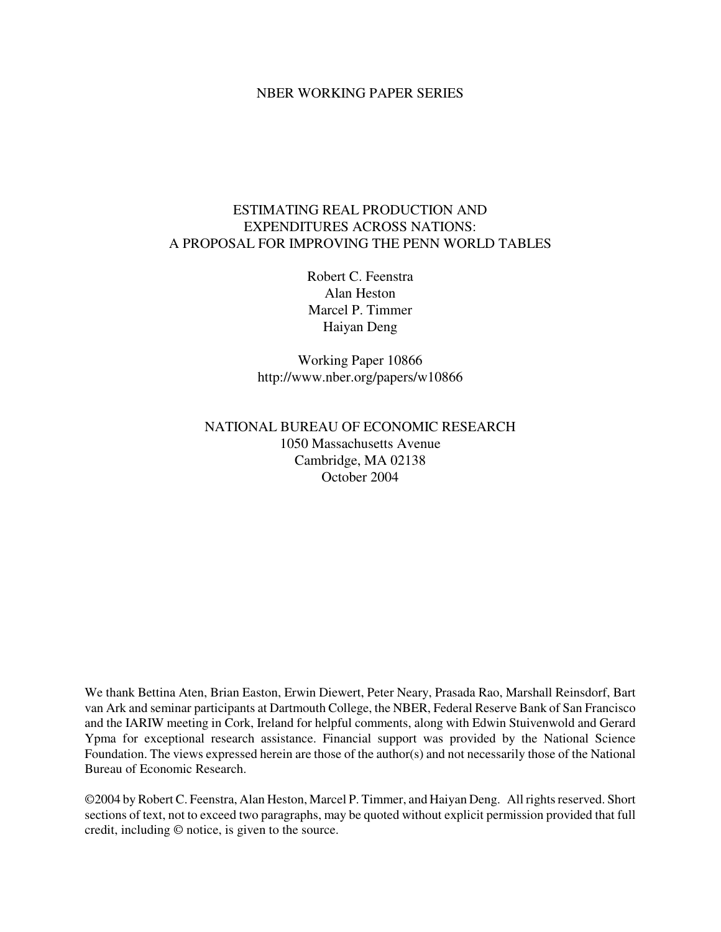#### NBER WORKING PAPER SERIES

## ESTIMATING REAL PRODUCTION AND EXPENDITURES ACROSS NATIONS: A PROPOSAL FOR IMPROVING THE PENN WORLD TABLES

Robert C. Feenstra Alan Heston Marcel P. Timmer Haiyan Deng

Working Paper 10866 http://www.nber.org/papers/w10866

# NATIONAL BUREAU OF ECONOMIC RESEARCH 1050 Massachusetts Avenue Cambridge, MA 02138 October 2004

We thank Bettina Aten, Brian Easton, Erwin Diewert, Peter Neary, Prasada Rao, Marshall Reinsdorf, Bart van Ark and seminar participants at Dartmouth College, the NBER, Federal Reserve Bank of San Francisco and the IARIW meeting in Cork, Ireland for helpful comments, along with Edwin Stuivenwold and Gerard Ypma for exceptional research assistance. Financial support was provided by the National Science Foundation. The views expressed herein are those of the author(s) and not necessarily those of the National Bureau of Economic Research.

©2004 by Robert C. Feenstra, Alan Heston, Marcel P. Timmer, and Haiyan Deng. All rights reserved. Short sections of text, not to exceed two paragraphs, may be quoted without explicit permission provided that full credit, including © notice, is given to the source.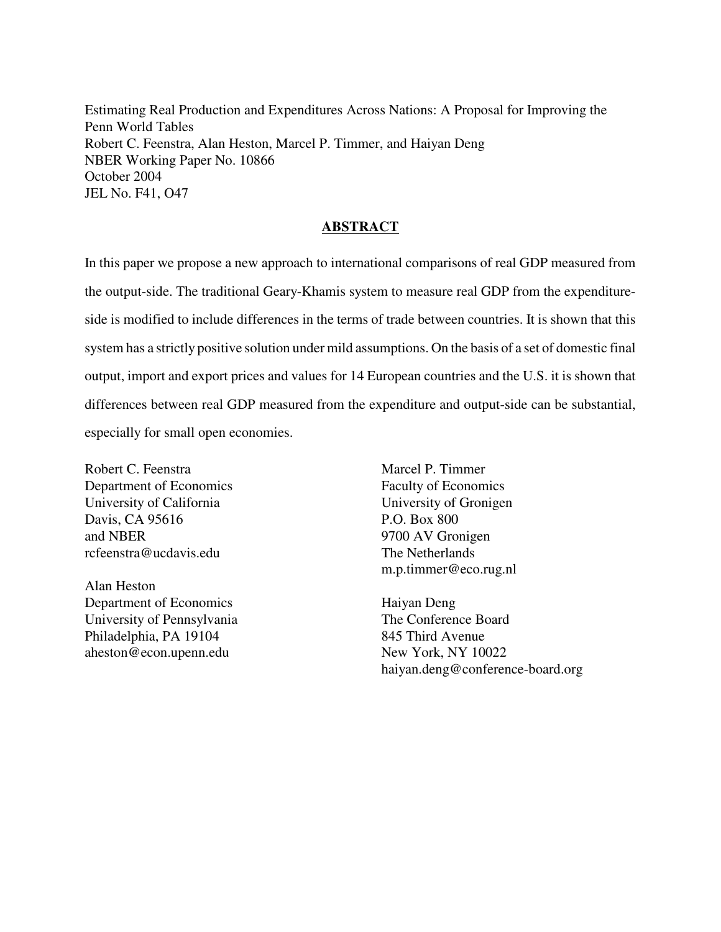Estimating Real Production and Expenditures Across Nations: A Proposal for Improving the Penn World Tables Robert C. Feenstra, Alan Heston, Marcel P. Timmer, and Haiyan Deng NBER Working Paper No. 10866 October 2004 JEL No. F41, O47

### **ABSTRACT**

In this paper we propose a new approach to international comparisons of real GDP measured from the output-side. The traditional Geary-Khamis system to measure real GDP from the expenditureside is modified to include differences in the terms of trade between countries. It is shown that this system has a strictly positive solution under mild assumptions. On the basis of a set of domestic final output, import and export prices and values for 14 European countries and the U.S. it is shown that differences between real GDP measured from the expenditure and output-side can be substantial, especially for small open economies.

Robert C. Feenstra Department of Economics University of California Davis, CA 95616 and NBER rcfeenstra@ucdavis.edu

Alan Heston Department of Economics University of Pennsylvania Philadelphia, PA 19104 aheston@econ.upenn.edu

Marcel P. Timmer Faculty of Economics University of Gronigen P.O. Box 800 9700 AV Gronigen The Netherlands m.p.timmer@eco.rug.nl

Haiyan Deng The Conference Board 845 Third Avenue New York, NY 10022 haiyan.deng@conference-board.org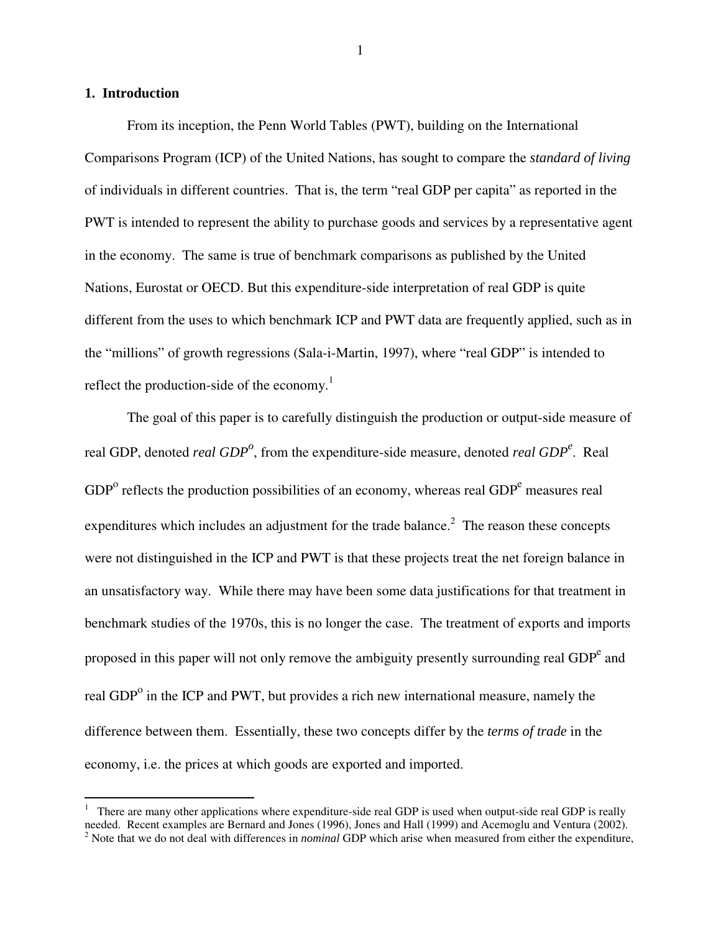#### **1. Introduction**

<u>.</u>

1

From its inception, the Penn World Tables (PWT), building on the International Comparisons Program (ICP) of the United Nations, has sought to compare the *standard of living* of individuals in different countries. That is, the term "real GDP per capita" as reported in the PWT is intended to represent the ability to purchase goods and services by a representative agent in the economy. The same is true of benchmark comparisons as published by the United Nations, Eurostat or OECD. But this expenditure-side interpretation of real GDP is quite different from the uses to which benchmark ICP and PWT data are frequently applied, such as in the "millions" of growth regressions (Sala-i-Martin, 1997), where "real GDP" is intended to reflect the production-side of the economy. $<sup>1</sup>$ </sup>

The goal of this paper is to carefully distinguish the production or output-side measure of real GDP, denoted *real GDP<sup>o</sup>*, from the expenditure-side measure, denoted *real GDP*<sup>*e*</sup>. Real  $GDP<sup>o</sup>$  reflects the production possibilities of an economy, whereas real  $GDP<sup>e</sup>$  measures real expenditures which includes an adjustment for the trade balance.<sup>2</sup> The reason these concepts were not distinguished in the ICP and PWT is that these projects treat the net foreign balance in an unsatisfactory way. While there may have been some data justifications for that treatment in benchmark studies of the 1970s, this is no longer the case. The treatment of exports and imports proposed in this paper will not only remove the ambiguity presently surrounding real GDP $^e$  and real GDP<sup>o</sup> in the ICP and PWT, but provides a rich new international measure, namely the difference between them. Essentially, these two concepts differ by the *terms of trade* in the economy, i.e. the prices at which goods are exported and imported.

<sup>&</sup>lt;sup>1</sup> There are many other applications where expenditure-side real GDP is used when output-side real GDP is really needed. Recent examples are Bernard and Jones (1996), Jones and Hall (1999) and Acemoglu and Ventura (2002). 2 Note that we do not deal with differences in *nominal* GDP which arise when measured from either the expenditure,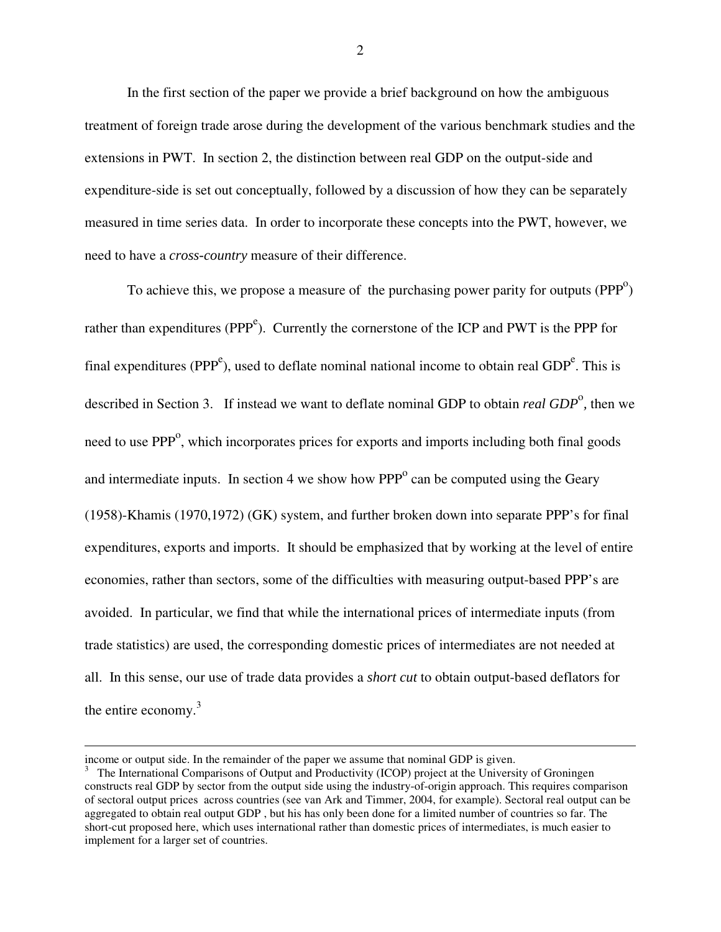In the first section of the paper we provide a brief background on how the ambiguous treatment of foreign trade arose during the development of the various benchmark studies and the extensions in PWT. In section 2, the distinction between real GDP on the output-side and expenditure-side is set out conceptually, followed by a discussion of how they can be separately measured in time series data. In order to incorporate these concepts into the PWT, however, we need to have a *cross-country* measure of their difference.

To achieve this, we propose a measure of the purchasing power parity for outputs  $(PPP<sup>o</sup>)$ rather than expenditures (PPP<sup>e</sup>). Currently the cornerstone of the ICP and PWT is the PPP for final expenditures (PPP<sup>e</sup>), used to deflate nominal national income to obtain real GDP<sup>e</sup>. This is described in Section 3. If instead we want to deflate nominal GDP to obtain *real GDP*<sup>o</sup>, then we need to use PPP<sup>o</sup>, which incorporates prices for exports and imports including both final goods and intermediate inputs. In section 4 we show how  $PPP<sup>o</sup>$  can be computed using the Geary (1958)-Khamis (1970,1972) (GK) system, and further broken down into separate PPP's for final expenditures, exports and imports. It should be emphasized that by working at the level of entire economies, rather than sectors, some of the difficulties with measuring output-based PPP's are avoided. In particular, we find that while the international prices of intermediate inputs (from trade statistics) are used, the corresponding domestic prices of intermediates are not needed at all. In this sense, our use of trade data provides a *short cut* to obtain output-based deflators for the entire economy.<sup>3</sup>

 $\overline{a}$ 

income or output side. In the remainder of the paper we assume that nominal GDP is given.

<sup>&</sup>lt;sup>3</sup> The International Comparisons of Output and Productivity (ICOP) project at the University of Groningen constructs real GDP by sector from the output side using the industry-of-origin approach. This requires comparison of sectoral output prices across countries (see van Ark and Timmer, 2004, for example). Sectoral real output can be aggregated to obtain real output GDP , but his has only been done for a limited number of countries so far. The short-cut proposed here, which uses international rather than domestic prices of intermediates, is much easier to implement for a larger set of countries.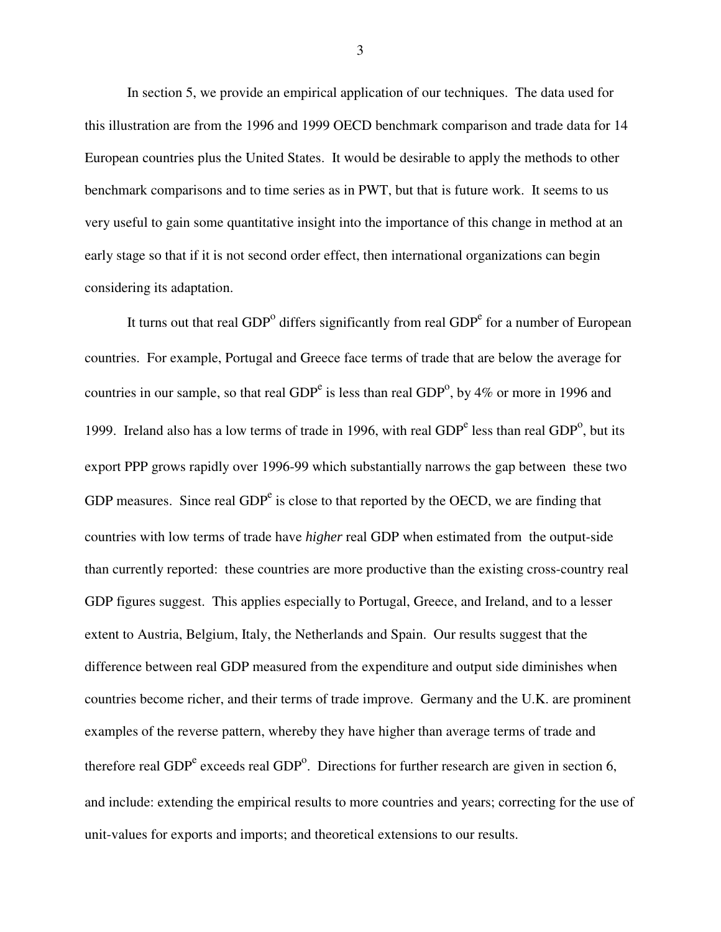In section 5, we provide an empirical application of our techniques. The data used for this illustration are from the 1996 and 1999 OECD benchmark comparison and trade data for 14 European countries plus the United States. It would be desirable to apply the methods to other benchmark comparisons and to time series as in PWT, but that is future work. It seems to us very useful to gain some quantitative insight into the importance of this change in method at an early stage so that if it is not second order effect, then international organizations can begin considering its adaptation.

It turns out that real  $GDP<sup>o</sup>$  differs significantly from real  $GDP<sup>e</sup>$  for a number of European countries. For example, Portugal and Greece face terms of trade that are below the average for countries in our sample, so that real GDP<sup>e</sup> is less than real GDP<sup>o</sup>, by 4% or more in 1996 and 1999. Ireland also has a low terms of trade in 1996, with real  $GDP<sup>e</sup>$  less than real  $GDP<sup>o</sup>$ , but its export PPP grows rapidly over 1996-99 which substantially narrows the gap between these two GDP measures. Since real  $GDP<sup>e</sup>$  is close to that reported by the OECD, we are finding that countries with low terms of trade have *higher* real GDP when estimated from the output-side than currently reported: these countries are more productive than the existing cross-country real GDP figures suggest. This applies especially to Portugal, Greece, and Ireland, and to a lesser extent to Austria, Belgium, Italy, the Netherlands and Spain. Our results suggest that the difference between real GDP measured from the expenditure and output side diminishes when countries become richer, and their terms of trade improve. Germany and the U.K. are prominent examples of the reverse pattern, whereby they have higher than average terms of trade and therefore real GDP $^e$  exceeds real GDP $^o$ . Directions for further research are given in section 6, and include: extending the empirical results to more countries and years; correcting for the use of unit-values for exports and imports; and theoretical extensions to our results.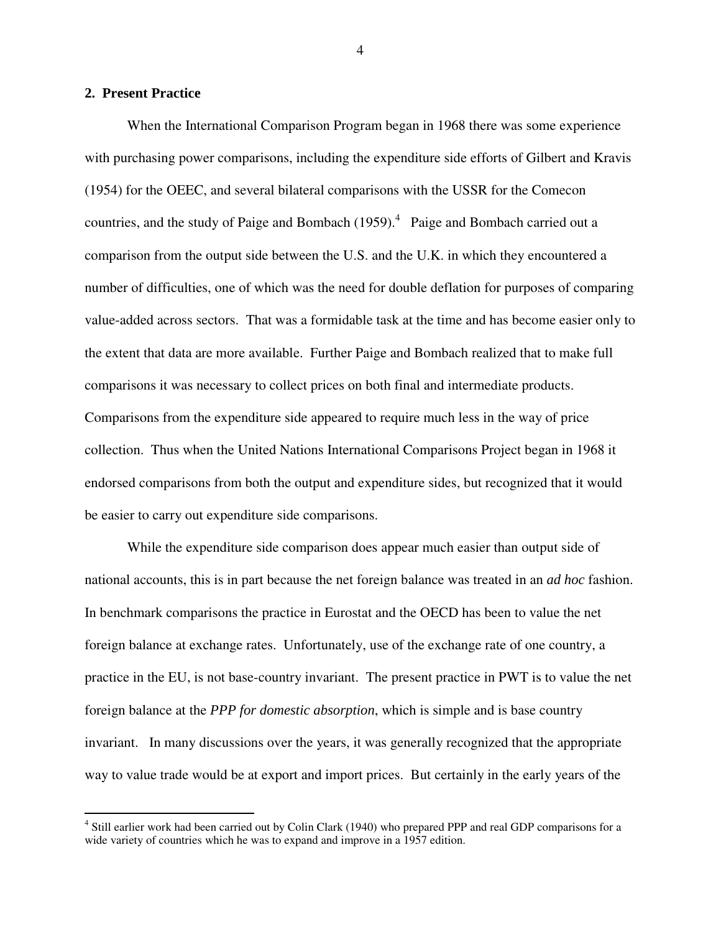#### **2. Present Practice**

 When the International Comparison Program began in 1968 there was some experience with purchasing power comparisons, including the expenditure side efforts of Gilbert and Kravis (1954) for the OEEC, and several bilateral comparisons with the USSR for the Comecon countries, and the study of Paige and Bombach  $(1959)$ .<sup>4</sup> Paige and Bombach carried out a comparison from the output side between the U.S. and the U.K. in which they encountered a number of difficulties, one of which was the need for double deflation for purposes of comparing value-added across sectors. That was a formidable task at the time and has become easier only to the extent that data are more available. Further Paige and Bombach realized that to make full comparisons it was necessary to collect prices on both final and intermediate products. Comparisons from the expenditure side appeared to require much less in the way of price collection. Thus when the United Nations International Comparisons Project began in 1968 it endorsed comparisons from both the output and expenditure sides, but recognized that it would be easier to carry out expenditure side comparisons.

 While the expenditure side comparison does appear much easier than output side of national accounts, this is in part because the net foreign balance was treated in an *ad hoc* fashion. In benchmark comparisons the practice in Eurostat and the OECD has been to value the net foreign balance at exchange rates. Unfortunately, use of the exchange rate of one country, a practice in the EU, is not base-country invariant. The present practice in PWT is to value the net foreign balance at the *PPP for domestic absorption*, which is simple and is base country invariant. In many discussions over the years, it was generally recognized that the appropriate way to value trade would be at export and import prices. But certainly in the early years of the

<sup>4&</sup>lt;br><sup>4</sup> Still earlier work had been carried out by Colin Clark (1940) who prepared PPP and real GDP comparisons for a wide variety of countries which he was to expand and improve in a 1957 edition.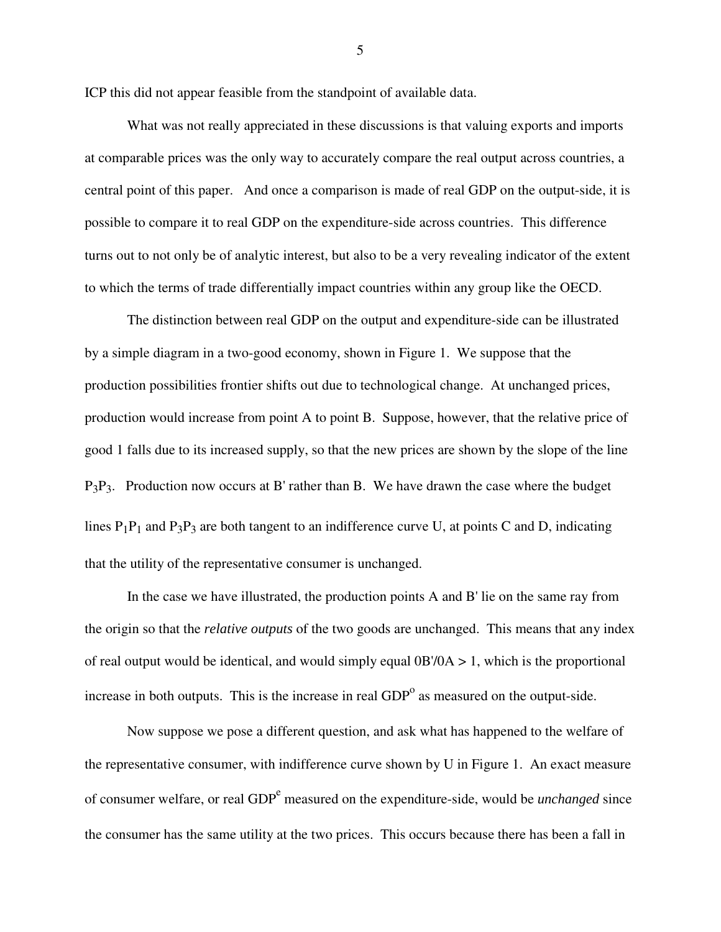ICP this did not appear feasible from the standpoint of available data.

 What was not really appreciated in these discussions is that valuing exports and imports at comparable prices was the only way to accurately compare the real output across countries, a central point of this paper. And once a comparison is made of real GDP on the output-side, it is possible to compare it to real GDP on the expenditure-side across countries. This difference turns out to not only be of analytic interest, but also to be a very revealing indicator of the extent to which the terms of trade differentially impact countries within any group like the OECD.

The distinction between real GDP on the output and expenditure-side can be illustrated by a simple diagram in a two-good economy, shown in Figure 1. We suppose that the production possibilities frontier shifts out due to technological change. At unchanged prices, production would increase from point A to point B. Suppose, however, that the relative price of good 1 falls due to its increased supply, so that the new prices are shown by the slope of the line  $P_3P_3$ . Production now occurs at B' rather than B. We have drawn the case where the budget lines  $P_1P_1$  and  $P_3P_3$  are both tangent to an indifference curve U, at points C and D, indicating that the utility of the representative consumer is unchanged.

In the case we have illustrated, the production points A and B' lie on the same ray from the origin so that the *relative outputs* of the two goods are unchanged. This means that any index of real output would be identical, and would simply equal  $0B/0A > 1$ , which is the proportional increase in both outputs. This is the increase in real  $GDP<sup>o</sup>$  as measured on the output-side.

 Now suppose we pose a different question, and ask what has happened to the welfare of the representative consumer, with indifference curve shown by U in Figure 1. An exact measure of consumer welfare, or real GDP<sup>e</sup> measured on the expenditure-side, would be *unchanged* since the consumer has the same utility at the two prices. This occurs because there has been a fall in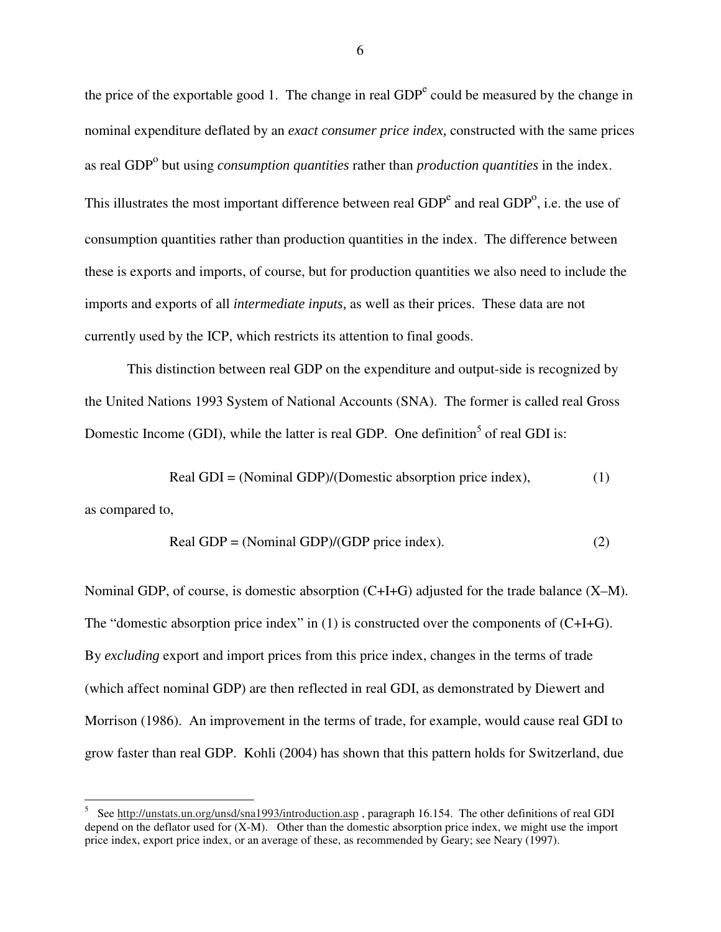the price of the exportable good 1. The change in real  $GDP<sup>e</sup>$  could be measured by the change in nominal expenditure deflated by an *exact consumer price index,* constructed with the same prices as real GDP<sup>o</sup> but using *consumption quantities* rather than *production quantities* in the index. This illustrates the most important difference between real  $GDP<sup>e</sup>$  and real  $GDP<sup>o</sup>$ , i.e. the use of consumption quantities rather than production quantities in the index. The difference between these is exports and imports, of course, but for production quantities we also need to include the imports and exports of all *intermediate inputs,* as well as their prices. These data are not currently used by the ICP, which restricts its attention to final goods.

This distinction between real GDP on the expenditure and output-side is recognized by the United Nations 1993 System of National Accounts (SNA). The former is called real Gross Domestic Income (GDI), while the latter is real GDP. One definition<sup>5</sup> of real GDI is:

Real GDI = (Nominal GDP)/(Domestic absorption price index), 
$$
(1)
$$

as compared to,

$$
Real GDP = (Nominal GDP)/(GDP price index). \tag{2}
$$

Nominal GDP, of course, is domestic absorption (C+I+G) adjusted for the trade balance (X–M). The "domestic absorption price index" in (1) is constructed over the components of (C+I+G). By *excluding* export and import prices from this price index, changes in the terms of trade (which affect nominal GDP) are then reflected in real GDI, as demonstrated by Diewert and Morrison (1986). An improvement in the terms of trade, for example, would cause real GDI to grow faster than real GDP. Kohli (2004) has shown that this pattern holds for Switzerland, due

 $\frac{1}{5}$  See http://unstats.un.org/unsd/sna1993/introduction.asp , paragraph 16.154. The other definitions of real GDI depend on the deflator used for (X-M). Other than the domestic absorption price index, we might use the import price index, export price index, or an average of these, as recommended by Geary; see Neary (1997).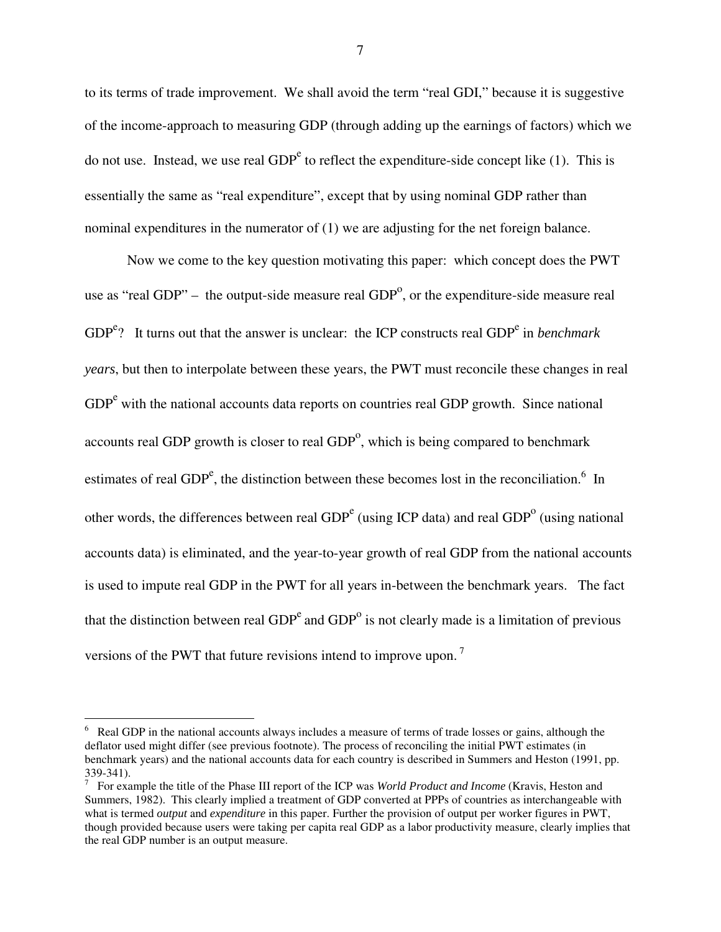to its terms of trade improvement. We shall avoid the term "real GDI," because it is suggestive of the income-approach to measuring GDP (through adding up the earnings of factors) which we do not use. Instead, we use real  $GDP^e$  to reflect the expenditure-side concept like (1). This is essentially the same as "real expenditure", except that by using nominal GDP rather than nominal expenditures in the numerator of (1) we are adjusting for the net foreign balance.

 Now we come to the key question motivating this paper: which concept does the PWT use as "real GDP" – the output-side measure real  $GDP<sup>o</sup>$ , or the expenditure-side measure real GDP<sup>e</sup>? It turns out that the answer is unclear: the ICP constructs real GDP<sup>e</sup> in *benchmark years*, but then to interpolate between these years, the PWT must reconcile these changes in real GDP<sup>e</sup> with the national accounts data reports on countries real GDP growth. Since national accounts real GDP growth is closer to real  $GDP<sup>o</sup>$ , which is being compared to benchmark estimates of real GDP<sup>e</sup>, the distinction between these becomes lost in the reconciliation.<sup>6</sup> In other words, the differences between real  $GDP<sup>e</sup>$  (using ICP data) and real  $GDP<sup>o</sup>$  (using national accounts data) is eliminated, and the year-to-year growth of real GDP from the national accounts is used to impute real GDP in the PWT for all years in-between the benchmark years. The fact that the distinction between real  $GDP<sup>e</sup>$  and  $GDP<sup>o</sup>$  is not clearly made is a limitation of previous versions of the PWT that future revisions intend to improve upon. 7

<u>.</u>

<sup>&</sup>lt;sup>6</sup> Real GDP in the national accounts always includes a measure of terms of trade losses or gains, although the deflator used might differ (see previous footnote). The process of reconciling the initial PWT estimates (in benchmark years) and the national accounts data for each country is described in Summers and Heston (1991, pp. 339-341).

<sup>7</sup> For example the title of the Phase III report of the ICP was *World Product and Income* (Kravis, Heston and Summers, 1982). This clearly implied a treatment of GDP converted at PPPs of countries as interchangeable with what is termed *output* and *expenditure* in this paper. Further the provision of output per worker figures in PWT, though provided because users were taking per capita real GDP as a labor productivity measure, clearly implies that the real GDP number is an output measure.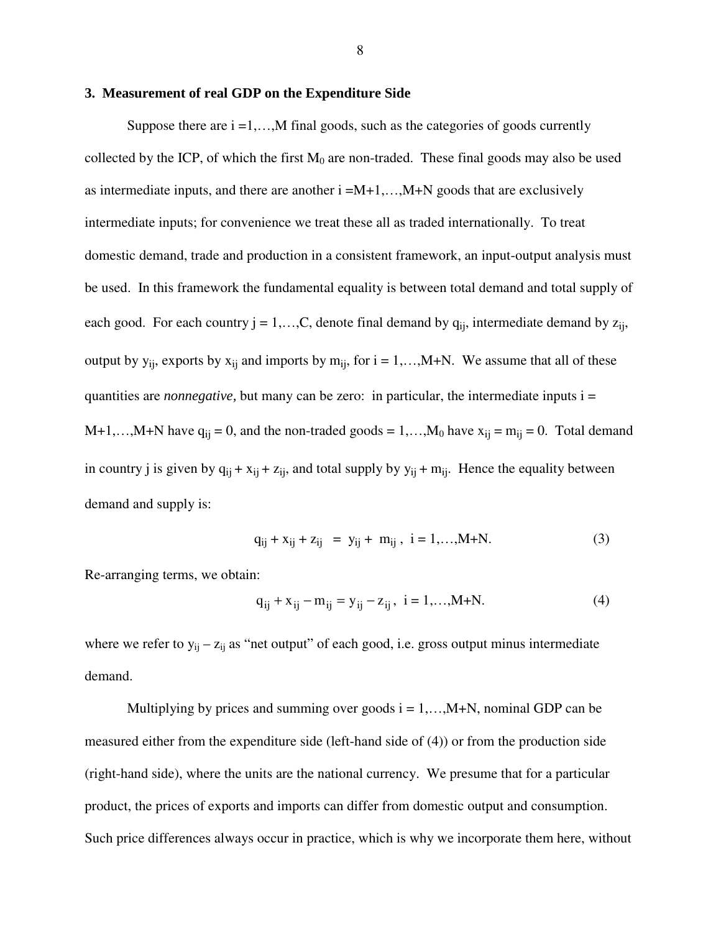#### **3. Measurement of real GDP on the Expenditure Side**

Suppose there are  $i = 1, \ldots, M$  final goods, such as the categories of goods currently collected by the ICP, of which the first  $M_0$  are non-traded. These final goods may also be used as intermediate inputs, and there are another  $i = M+1, \ldots, M+N$  goods that are exclusively intermediate inputs; for convenience we treat these all as traded internationally. To treat domestic demand, trade and production in a consistent framework, an input-output analysis must be used. In this framework the fundamental equality is between total demand and total supply of each good. For each country  $j = 1,...,C$ , denote final demand by  $q_{ii}$ , intermediate demand by  $z_{ii}$ , output by  $y_{ij}$ , exports by  $x_{ij}$  and imports by  $m_{ij}$ , for  $i = 1,...,M+N$ . We assume that all of these quantities are *nonnegative,* but many can be zero: in particular, the intermediate inputs i = M+1,…,M+N have  $q_{ij} = 0$ , and the non-traded goods = 1,…,M<sub>0</sub> have  $x_{ij} = m_{ij} = 0$ . Total demand in country j is given by  $q_{ij} + x_{ij} + z_{ij}$ , and total supply by  $y_{ij} + m_{ij}$ . Hence the equality between demand and supply is:

$$
q_{ij} + x_{ij} + z_{ij} = y_{ij} + m_{ij}, \ i = 1,...,M+N.
$$
 (3)

Re-arranging terms, we obtain:

$$
q_{ij} + x_{ij} - m_{ij} = y_{ij} - z_{ij}, \ i = 1,...,M+N.
$$
 (4)

where we refer to  $y_{ij} - z_{ij}$  as "net output" of each good, i.e. gross output minus intermediate demand.

Multiplying by prices and summing over goods  $i = 1, \ldots, M+N$ , nominal GDP can be measured either from the expenditure side (left-hand side of (4)) or from the production side (right-hand side), where the units are the national currency. We presume that for a particular product, the prices of exports and imports can differ from domestic output and consumption. Such price differences always occur in practice, which is why we incorporate them here, without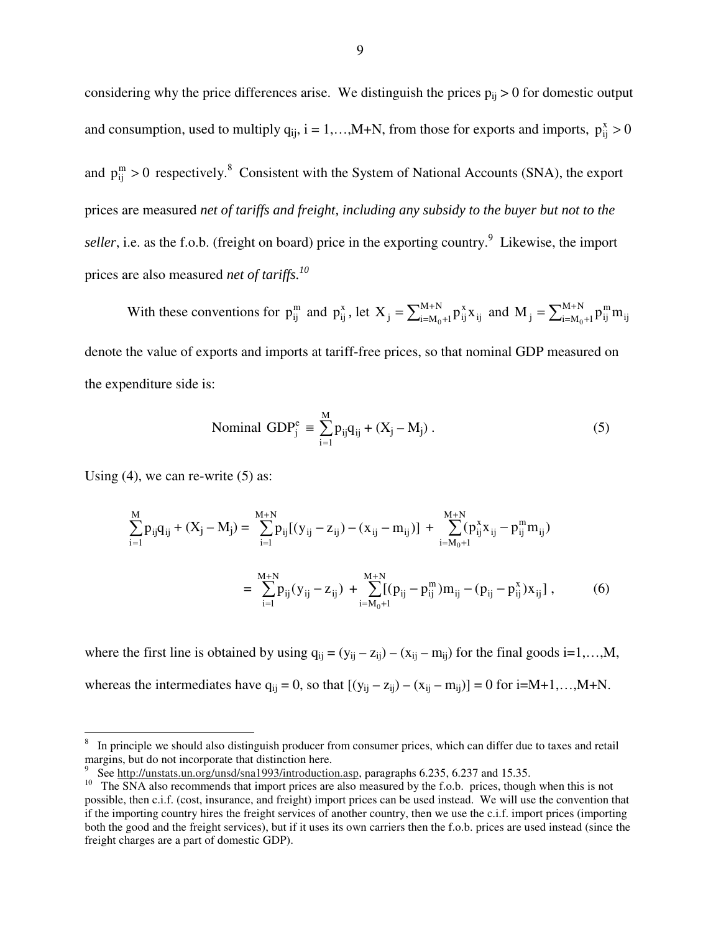considering why the price differences arise. We distinguish the prices  $p_{ij} > 0$  for domestic output and consumption, used to multiply  $q_{ij}$ ,  $i = 1,...,M+N$ , from those for exports and imports,  $p_{ij}^x > 0$ and  $p_{ij}^m > 0$  respectively.<sup>8</sup> Consistent with the System of National Accounts (SNA), the export prices are measured *net of tariffs and freight, including any subsidy to the buyer but not to the* seller, i.e. as the f.o.b. (freight on board) price in the exporting country.<sup>9</sup> Likewise, the import prices are also measured *net of tariffs.10*

With these conventions for  $p_{ij}^m$  and  $p_{ij}^x$ , let  $X_j = \sum_{i=M_0+1}^{M+N} p_{ij}^x x_{ij}$ x  $X_j = \sum_{i=M_0+1}^{M+N} p_{ij}^x x_{ij}$  and  $M_j = \sum_{i=M_0+1}^{M+N} p_{ij}^m m_{ij}$ m  $M_{j} = \sum_{i=M_0+1}^{M+N} p_{ij}^{m} m_{ij}$ denote the value of exports and imports at tariff-free prices, so that nominal GDP measured on the expenditure side is:

$$
\text{Nominal GDP}_{j}^{e} \equiv \sum_{i=1}^{M} p_{ij} q_{ij} + (X_{j} - M_{j}) \,. \tag{5}
$$

Using  $(4)$ , we can re-write  $(5)$  as:

-

$$
\sum_{i=1}^{M} p_{ij} q_{ij} + (X_j - M_j) = \sum_{i=1}^{M+N} p_{ij} [(y_{ij} - z_{ij}) - (x_{ij} - m_{ij})] + \sum_{i=M_0+1}^{M+N} (p_{ij}^x x_{ij} - p_{ij}^m m_{ij})
$$
  

$$
= \sum_{i=1}^{M+N} p_{ij} (y_{ij} - z_{ij}) + \sum_{i=M_0+1}^{M+N} [(p_{ij} - p_{ij}^m) m_{ij} - (p_{ij} - p_{ij}^x) x_{ij}], \qquad (6)
$$

where the first line is obtained by using  $q_{ij} = (y_{ij} - z_{ij}) - (x_{ij} - m_{ij})$  for the final goods i=1,...,M, whereas the intermediates have  $q_{ii} = 0$ , so that  $[(y_{ii} - z_{ii}) - (x_{ii} - m_{ii})] = 0$  for  $i=M+1,...,M+N$ .

<sup>8</sup> In principle we should also distinguish producer from consumer prices, which can differ due to taxes and retail margins, but do not incorporate that distinction here.

<sup>9</sup>

See http://unstats.un.org/unsd/sna1993/introduction.asp, paragraphs 6.235, 6.237 and 15.35.<br>The SNA also recommends that import prices are also measured by the f.o.b. prices, though when this is not possible, then c.i.f. (cost, insurance, and freight) import prices can be used instead. We will use the convention that if the importing country hires the freight services of another country, then we use the c.i.f. import prices (importing both the good and the freight services), but if it uses its own carriers then the f.o.b. prices are used instead (since the freight charges are a part of domestic GDP).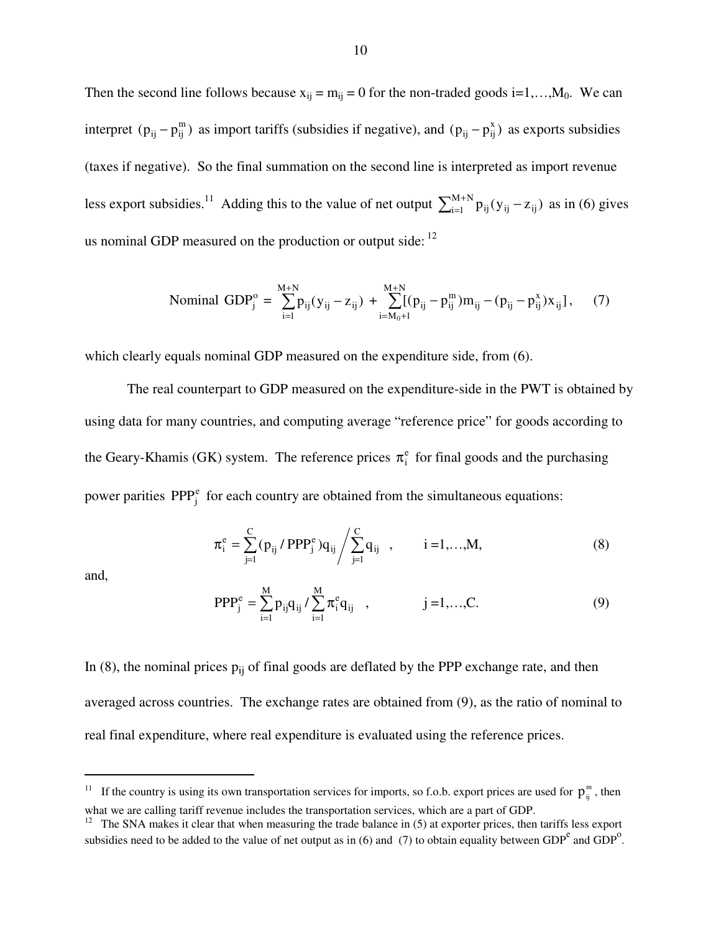Then the second line follows because  $x_{ij} = m_{ij} = 0$  for the non-traded goods  $i=1,...,M_0$ . We can interpret  $(p_{ij} - p_{ij}^m)$  as import tariffs (subsidies if negative), and  $(p_{ij} - p_{ij}^x)$  as exports subsidies (taxes if negative). So the final summation on the second line is interpreted as import revenue less export subsidies.<sup>11</sup> Adding this to the value of net output  $\sum_{i=1}^{M+N} p_{ij} (y_{ij} - z_{ij})$  as in (6) gives us nominal GDP measured on the production or output side:  $12$ 

$$
\text{Nominal GDP}_{j}^{\text{o}} = \sum_{i=1}^{M+N} p_{ij} (y_{ij} - z_{ij}) + \sum_{i=M_{0}+1}^{M+N} [(p_{ij} - p_{ij}^{m}) m_{ij} - (p_{ij} - p_{ij}^{x}) x_{ij}], \tag{7}
$$

which clearly equals nominal GDP measured on the expenditure side, from  $(6)$ .

The real counterpart to GDP measured on the expenditure-side in the PWT is obtained by using data for many countries, and computing average "reference price" for goods according to the Geary-Khamis (GK) system. The reference prices  $\pi_i^e$  for final goods and the purchasing power parities  $PPP_i^e$  for each country are obtained from the simultaneous equations:

$$
\pi_{i}^{e} = \sum_{j=1}^{C} (p_{ij} / PPP_{j}^{e}) q_{ij} / \sum_{j=1}^{C} q_{ij} , \qquad i = 1,...,M,
$$
\n(8)

and,

<u>.</u>

$$
PPP_j^e = \sum_{i=1}^{M} p_{ij}q_{ij} / \sum_{i=1}^{M} \pi_i^e q_{ij} , \qquad j = 1,...,C.
$$
 (9)

In (8), the nominal prices  $p_{ii}$  of final goods are deflated by the PPP exchange rate, and then averaged across countries. The exchange rates are obtained from (9), as the ratio of nominal to real final expenditure, where real expenditure is evaluated using the reference prices.

<sup>&</sup>lt;sup>11</sup> If the country is using its own transportation services for imports, so f.o.b. export prices are used for  $p_{ij}^m$ , then what we are calling tariff revenue includes the transportation services, which are a part of GDP.

<sup>12</sup> The SNA makes it clear that when measuring the trade balance in (5) at exporter prices, then tariffs less export subsidies need to be added to the value of net output as in (6) and (7) to obtain equality between GDP<sup>e</sup> and GDP<sup>o</sup>.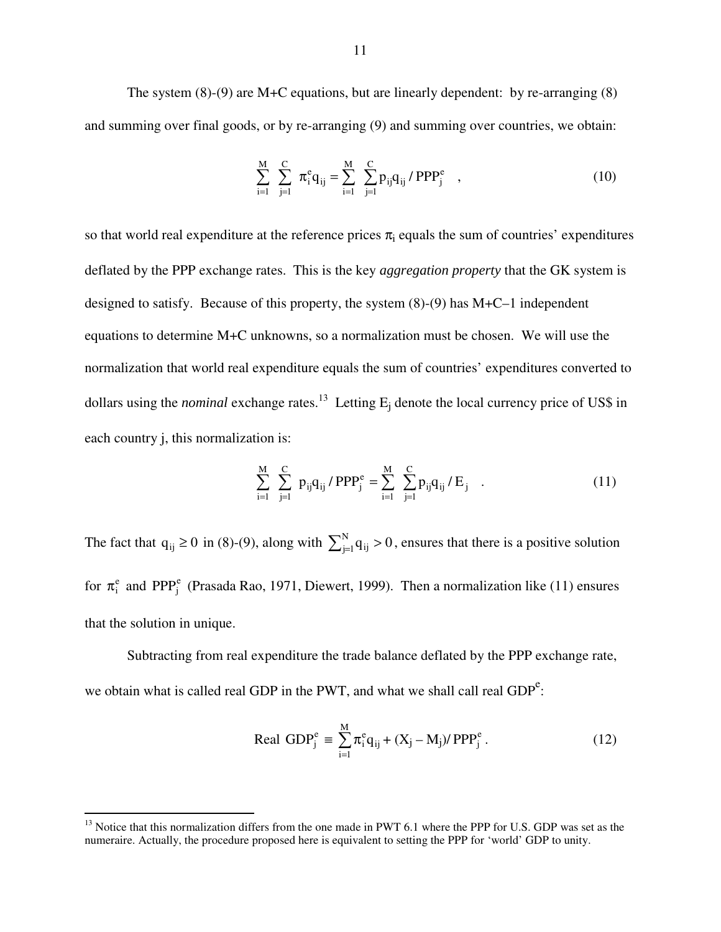The system (8)-(9) are M+C equations, but are linearly dependent: by re-arranging (8) and summing over final goods, or by re-arranging (9) and summing over countries, we obtain:

$$
\sum_{i=1}^{M} \sum_{j=1}^{C} \pi_i^e q_{ij} = \sum_{i=1}^{M} \sum_{j=1}^{C} p_{ij} q_{ij} / PPP_j^e ,
$$
 (10)

so that world real expenditure at the reference prices  $\pi_i$  equals the sum of countries' expenditures deflated by the PPP exchange rates. This is the key *aggregation property* that the GK system is designed to satisfy. Because of this property, the system (8)-(9) has M+C–1 independent equations to determine M+C unknowns, so a normalization must be chosen. We will use the normalization that world real expenditure equals the sum of countries' expenditures converted to dollars using the *nominal* exchange rates.<sup>13</sup> Letting  $E_i$  denote the local currency price of US\$ in each country j, this normalization is:

$$
\sum_{i=1}^{M} \sum_{j=1}^{C} p_{ij} q_{ij} / PPP_{j}^{e} = \sum_{i=1}^{M} \sum_{j=1}^{C} p_{ij} q_{ij} / E_{j} .
$$
 (11)

The fact that  $q_{ij} \ge 0$  in (8)-(9), along with  $\sum_{j=1}^{N} q_{ij} > 0$ , ensures that there is a positive solution for  $\pi_i^e$  and PPP<sub>j</sub><sup>e</sup> (Prasada Rao, 1971, Diewert, 1999). Then a normalization like (11) ensures that the solution in unique.

Subtracting from real expenditure the trade balance deflated by the PPP exchange rate, we obtain what is called real GDP in the PWT, and what we shall call real  $GDP<sup>e</sup>$ :

Real GDP<sub>j</sub><sup>e</sup> = 
$$
\sum_{i=1}^{M} \pi_i^e q_{ij} + (X_j - M_j) / PPP_j^e
$$
. (12)

-

 $13$  Notice that this normalization differs from the one made in PWT 6.1 where the PPP for U.S. GDP was set as the numeraire. Actually, the procedure proposed here is equivalent to setting the PPP for 'world' GDP to unity.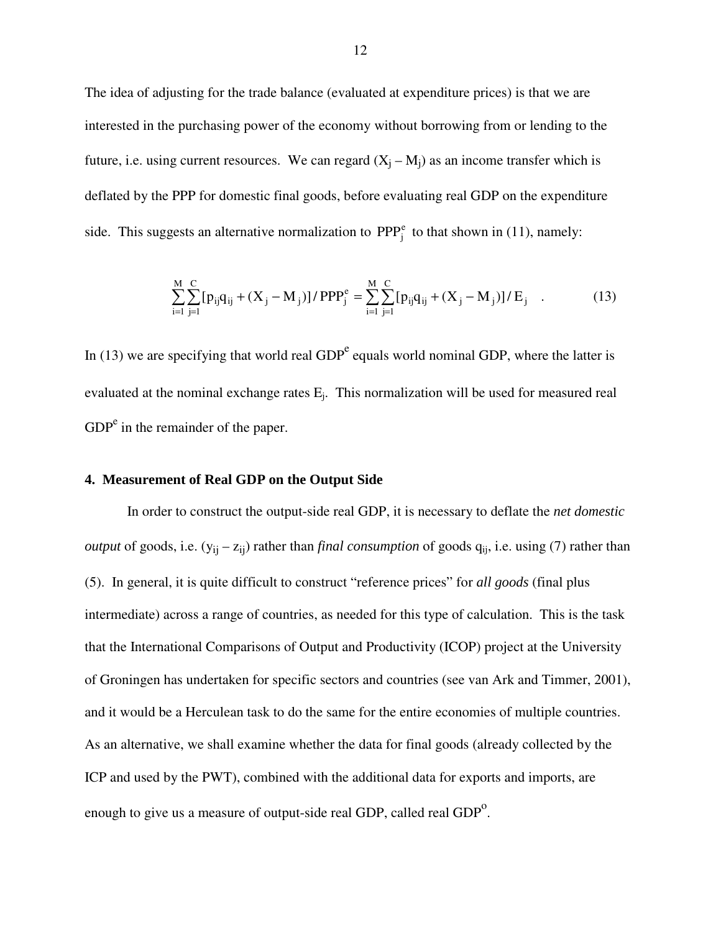The idea of adjusting for the trade balance (evaluated at expenditure prices) is that we are interested in the purchasing power of the economy without borrowing from or lending to the future, i.e. using current resources. We can regard  $(X_i - M_i)$  as an income transfer which is deflated by the PPP for domestic final goods, before evaluating real GDP on the expenditure side. This suggests an alternative normalization to  $PPP_i^e$  to that shown in (11), namely:

$$
\sum_{i=1}^{M} \sum_{j=1}^{C} [p_{ij}q_{ij} + (X_j - M_j)] / PPP_j^e = \sum_{i=1}^{M} \sum_{j=1}^{C} [p_{ij}q_{ij} + (X_j - M_j)] / E_j
$$
 (13)

In (13) we are specifying that world real  $GDP<sup>e</sup>$  equals world nominal GDP, where the latter is evaluated at the nominal exchange rates E<sub>i</sub>. This normalization will be used for measured real  $GDP<sup>e</sup>$  in the remainder of the paper.

### **4. Measurement of Real GDP on the Output Side**

In order to construct the output-side real GDP, it is necessary to deflate the *net domestic output* of goods, i.e.  $(y_{ij} - z_{ij})$  rather than *final consumption* of goods  $q_{ij}$ , i.e. using (7) rather than (5). In general, it is quite difficult to construct "reference prices" for *all goods* (final plus intermediate) across a range of countries, as needed for this type of calculation. This is the task that the International Comparisons of Output and Productivity (ICOP) project at the University of Groningen has undertaken for specific sectors and countries (see van Ark and Timmer, 2001), and it would be a Herculean task to do the same for the entire economies of multiple countries. As an alternative, we shall examine whether the data for final goods (already collected by the ICP and used by the PWT), combined with the additional data for exports and imports, are enough to give us a measure of output-side real GDP, called real  $GDP<sup>o</sup>$ .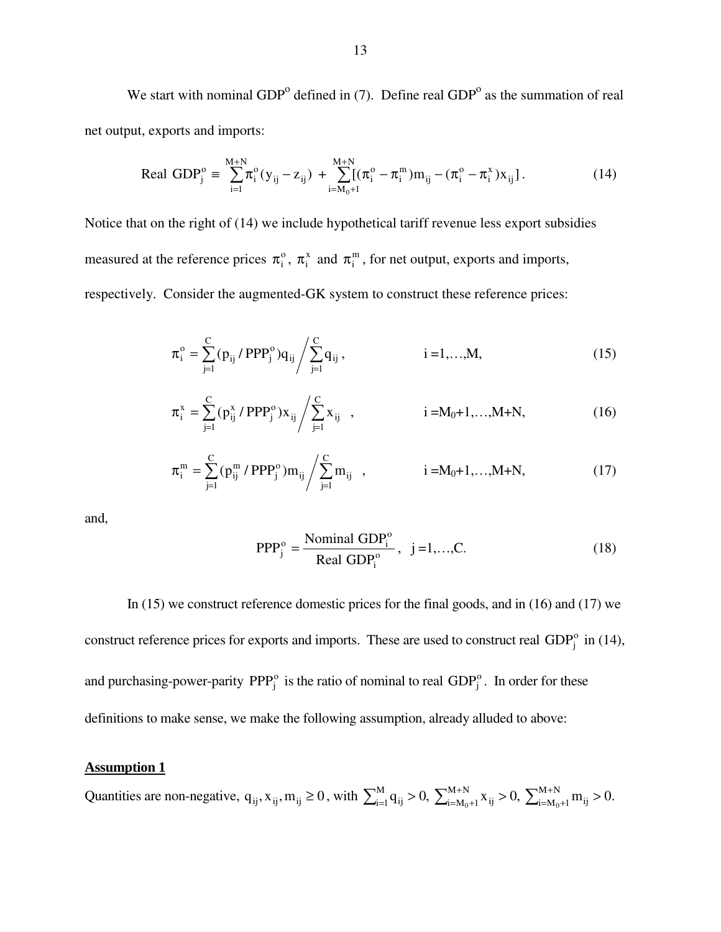We start with nominal  $GDP<sup>o</sup>$  defined in (7). Define real  $GDP<sup>o</sup>$  as the summation of real net output, exports and imports:

Real GDP<sub>j</sub><sup>o</sup> = 
$$
\sum_{i=1}^{M+N} \pi_i^o(y_{ij} - z_{ij}) + \sum_{i=M_0+1}^{M+N} [(\pi_i^o - \pi_i^m) m_{ij} - (\pi_i^o - \pi_i^x) x_{ij}].
$$
 (14)

Notice that on the right of (14) we include hypothetical tariff revenue less export subsidies measured at the reference prices  $\pi_i^o$ ,  $\pi_i^x$  and  $\pi_i^m$ , for net output, exports and imports, respectively. Consider the augmented-GK system to construct these reference prices:

$$
\pi_i^{\circ} = \sum_{j=1}^{C} (p_{ij} / PPP_j^{\circ}) q_{ij} / \sum_{j=1}^{C} q_{ij}, \qquad i = 1,...,M,
$$
 (15)

$$
\pi_i^x = \sum_{j=1}^C (p_{ij}^x / PPP_j^o) x_{ij} / \sum_{j=1}^C x_{ij} , \qquad i = M_0 + 1, ..., M+N,
$$
 (16)

$$
\pi_i^m = \sum_{j=1}^C (p_{ij}^m / PPP_j^o) m_{ij} / \sum_{j=1}^C m_{ij} , \qquad i = M_0 + 1, ..., M+N,
$$
 (17)

and,

$$
PPP_j^o = \frac{\text{Nominal GDP}_i^o}{\text{Real GDP}_i^o}, \quad j = 1, \dots, C. \tag{18}
$$

 In (15) we construct reference domestic prices for the final goods, and in (16) and (17) we construct reference prices for exports and imports. These are used to construct real  $GDP<sub>i</sub><sup>o</sup>$  in (14), and purchasing-power-parity  $PPP_j^o$  is the ratio of nominal to real  $GDP_j^o$ . In order for these definitions to make sense, we make the following assumption, already alluded to above:

#### **Assumption 1**

Quantities are non-negative,  $q_{ij}$ ,  $x_{ij}$ ,  $m_{ij} \ge 0$ , with  $\sum_{i=1}^{M} q_{ij} > 0$ ,  $\sum_{i=M_0+1}^{M+N} x_{ij} > 0$ ,  $\sum_{i=M_0+1}^{M+N} q_{ij} > 0$  $_{=1}^{M}q_{ij} > 0, \ \sum_{i=M_0+1}^{M+N}x_{ij} > 0, \ \sum_{i=M_0+1}^{M+N}m_{ij} > 0$  $i = M_0 + 1$ <sup>III</sup>ij  $M + N$  $i=M_0+1$   $\Lambda$  ij M  $\sum_{i=1}^{M} q_{ij} > 0$ ,  $\sum_{i=M_0+1}^{M+N} x_{ij} > 0$ ,  $\sum_{i=M_0+1}^{M+N} m_{ij} > 0$ .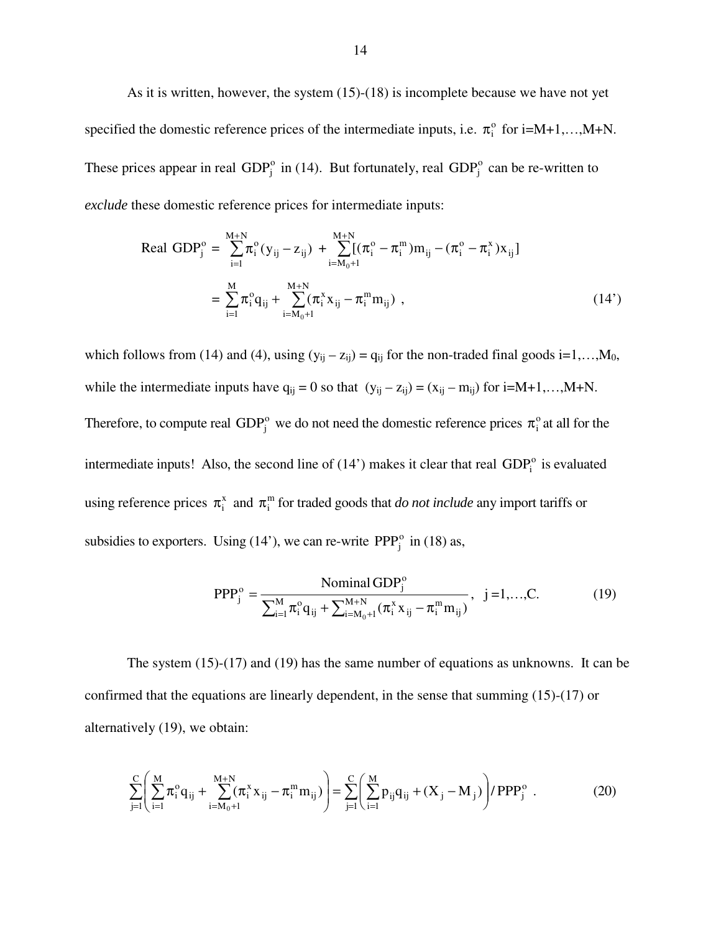As it is written, however, the system (15)-(18) is incomplete because we have not yet specified the domestic reference prices of the intermediate inputs, i.e.  $\pi_i^{\circ}$  for i=M+1,…,M+N. These prices appear in real GDP $_j^{\circ}$  in (14). But fortunately, real GDP $_j^{\circ}$  can be re-written to *exclude* these domestic reference prices for intermediate inputs:

Real GDP<sub>j</sub><sup>o</sup> = 
$$
\sum_{i=1}^{M+N} \pi_i^o(y_{ij} - z_{ij}) + \sum_{i=M_0+1}^{M+N} [(\pi_i^o - \pi_i^m)m_{ij} - (\pi_i^o - \pi_i^x)x_{ij}]
$$
  
\n=  $\sum_{i=1}^{M} \pi_i^o q_{ij} + \sum_{i=M_0+1}^{M+N} (\pi_i^x x_{ij} - \pi_i^m m_{ij})$ , (14')

which follows from (14) and (4), using  $(y_{ij} - z_{ij}) = q_{ij}$  for the non-traded final goods i=1,...,M<sub>0</sub>, while the intermediate inputs have  $q_{ij} = 0$  so that  $(y_{ij} - z_{ij}) = (x_{ij} - m_{ij})$  for  $i=M+1,...,M+N$ . Therefore, to compute real GDP<sup>°</sup> we do not need the domestic reference prices  $\pi$ <sup>°</sup> at all for the intermediate inputs! Also, the second line of  $(14')$  makes it clear that real  $GDP<sub>i</sub><sup>o</sup>$  is evaluated using reference prices  $\pi_i^x$  and  $\pi_i^m$  for traded goods that *do not include* any import tariffs or subsidies to exporters. Using (14'), we can re-write  $PPP_j^o$  in (18) as,

$$
PPP_j^o = \frac{\text{Nominal GDP}_j^o}{\sum_{i=1}^M \pi_i^o q_{ij} + \sum_{i=M_0+1}^{M+N} (\pi_i^x x_{ij} - \pi_i^m m_{ij})}, \ \ j = 1, \dots, C. \tag{19}
$$

The system (15)-(17) and (19) has the same number of equations as unknowns. It can be confirmed that the equations are linearly dependent, in the sense that summing (15)-(17) or alternatively (19), we obtain:

$$
\sum_{j=1}^{C} \left( \sum_{i=1}^{M} \pi_i^{\circ} q_{ij} + \sum_{i=M_0+1}^{M+N} (\pi_i^x x_{ij} - \pi_i^m m_{ij}) \right) = \sum_{j=1}^{C} \left( \sum_{i=1}^{M} p_{ij} q_{ij} + (X_j - M_j) \right) / PPP_j^{\circ} . \tag{20}
$$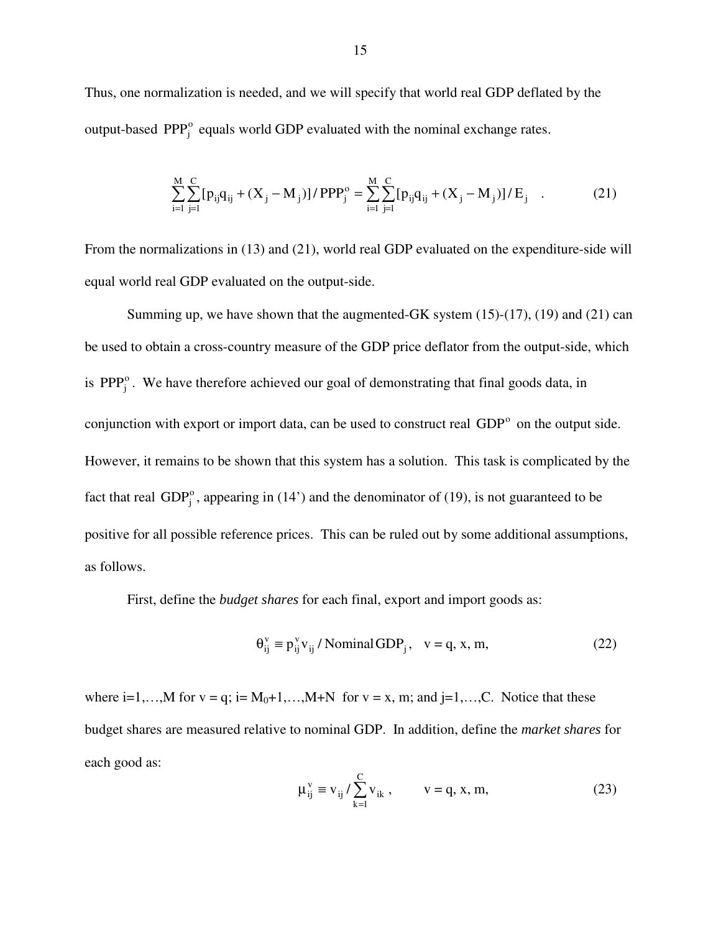Thus, one normalization is needed, and we will specify that world real GDP deflated by the output-based  $PPP_i^o$  equals world GDP evaluated with the nominal exchange rates.

$$
\sum_{i=1}^{M} \sum_{j=1}^{C} [p_{ij}q_{ij} + (X_j - M_j)] / PPP_j^o = \sum_{i=1}^{M} \sum_{j=1}^{C} [p_{ij}q_{ij} + (X_j - M_j)] / E_j
$$
 (21)

From the normalizations in (13) and (21), world real GDP evaluated on the expenditure-side will equal world real GDP evaluated on the output-side.

Summing up, we have shown that the augmented-GK system  $(15)-(17)$ ,  $(19)$  and  $(21)$  can be used to obtain a cross-country measure of the GDP price deflator from the output-side, which is  $PPP_i^o$ . We have therefore achieved our goal of demonstrating that final goods data, in conjunction with export or import data, can be used to construct real GDP<sup>°</sup> on the output side. However, it remains to be shown that this system has a solution. This task is complicated by the fact that real  $GDP_i^{\circ}$ , appearing in (14') and the denominator of (19), is not guaranteed to be positive for all possible reference prices. This can be ruled out by some additional assumptions, as follows.

First, define the *budget shares* for each final, export and import goods as:

$$
\Theta_{ij}^{v} \equiv p_{ij}^{v} v_{ij} / \text{Nominal GDP}_{j}, \quad v = q, x, m,
$$
 (22)

where  $i=1,...,M$  for  $v = q$ ;  $i=M_0+1,...,M+N$  for  $v = x$ , m; and  $j=1,...,C$ . Notice that these budget shares are measured relative to nominal GDP. In addition, define the *market shares* for each good as:

$$
\mu_{ij}^v \equiv v_{ij} / \sum_{k=1}^C v_{ik} , \qquad v = q, x, m,
$$
 (23)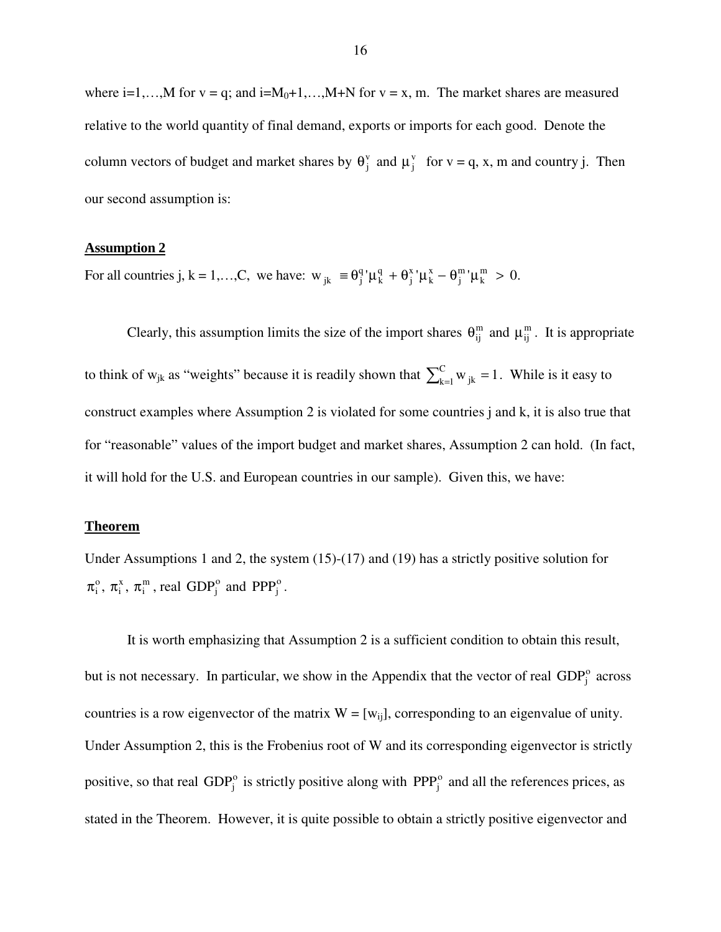where  $i=1,...,M$  for  $v = q$ ; and  $i=M_0+1,...,M+N$  for  $v = x$ , m. The market shares are measured relative to the world quantity of final demand, exports or imports for each good. Denote the column vectors of budget and market shares by  $\theta_j^v$  and  $\mu_j^v$  for  $v = q$ , x, m and country j. Then our second assumption is:

#### **Assumption 2**

For all countries j,  $k = 1,...,C$ , we have:  $w_{jk} \equiv \theta_j^q \mu_k^q + \theta_j^x \mu_k^x - \theta_j^m \mu_k^m > 0$ . m j x k x j q k  $\mathbf{g}_{jk}$  =  $\theta_j^q$ ' $\mu_k^q$  +  $\theta_j^x$ ' $\mu_k^x$  -  $\theta_j^m$ ' $\mu_k^m$  >

Clearly, this assumption limits the size of the import shares  $\theta_{ij}^m$  and  $\mu_{ij}^m$ . It is appropriate to think of w<sub>jk</sub> as "weights" because it is readily shown that  $\sum_{k=1}^{C} w_{jk} = 1$ . While is it easy to construct examples where Assumption 2 is violated for some countries j and k, it is also true that for "reasonable" values of the import budget and market shares, Assumption 2 can hold. (In fact, it will hold for the U.S. and European countries in our sample). Given this, we have:

#### **Theorem**

Under Assumptions 1 and 2, the system (15)-(17) and (19) has a strictly positive solution for m i x i  $\pi_i^{\circ}$ ,  $\pi_i^{\mathsf{x}}$ ,  $\pi_i^{\mathsf{m}}$ , real GDP $_i^{\circ}$  and PPP $_i^{\circ}$ .

It is worth emphasizing that Assumption 2 is a sufficient condition to obtain this result, but is not necessary. In particular, we show in the Appendix that the vector of real  $GDP<sub>j</sub><sup>o</sup>$  across countries is a row eigenvector of the matrix  $W = [w_{ii}]$ , corresponding to an eigenvalue of unity. Under Assumption 2, this is the Frobenius root of W and its corresponding eigenvector is strictly positive, so that real  $GDP_j^o$  is strictly positive along with  $PPP_j^o$  and all the references prices, as stated in the Theorem. However, it is quite possible to obtain a strictly positive eigenvector and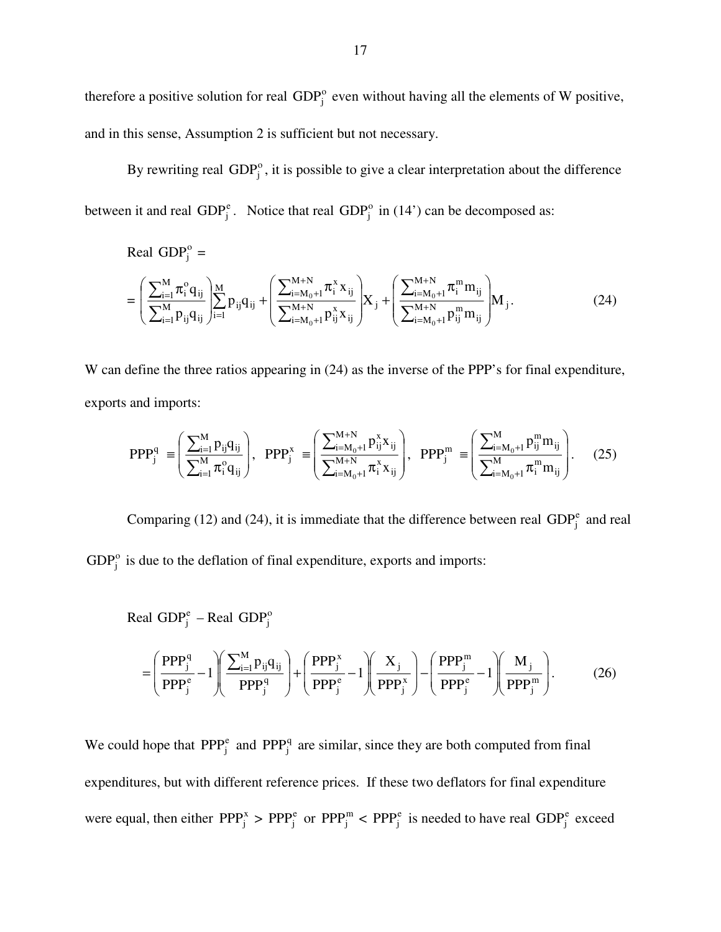therefore a positive solution for real  $GDP_j^o$  even without having all the elements of W positive, and in this sense, Assumption 2 is sufficient but not necessary.

By rewriting real  $GDP_j^o$ , it is possible to give a clear interpretation about the difference between it and real  $GDP_j^e$ . Notice that real  $GDP_j^o$  in (14') can be decomposed as:

Real GDP<sub>j</sub><sup>o</sup> =  
\n
$$
= \left( \frac{\sum_{i=1}^{M} \pi_i^o q_{ij}}{\sum_{i=1}^{M} p_{ij} q_{ij}} \right)_{i=1}^{M} p_{ij} q_{ij} + \left( \frac{\sum_{i=M_0+1}^{M+N} \pi_i^x x_{ij}}{\sum_{i=M_0+1}^{M+N} p_{ij}^x x_{ij}} \right) X_j + \left( \frac{\sum_{i=M_0+1}^{M+N} \pi_i^m m_{ij}}{\sum_{i=M_0+1}^{M+N} p_{ij}^m m_{ij}} \right) M_j.
$$
\n(24)

W can define the three ratios appearing in  $(24)$  as the inverse of the PPP's for final expenditure, exports and imports:

$$
PPP_j^q \equiv \left(\frac{\sum_{i=1}^M p_{ij} q_{ij}}{\sum_{i=1}^M \pi_i^o q_{ij}}\right), \; PPP_j^x \equiv \left(\frac{\sum_{i=M_0+1}^{M+N} p_{ij}^x x_{ij}}{\sum_{i=M_0+1}^{M+N} \pi_i^x x_{ij}}\right), \; PPP_j^m \equiv \left(\frac{\sum_{i=M_0+1}^M p_{ij}^m m_{ij}}{\sum_{i=M_0+1}^M \pi_i^m m_{ij}}\right). \tag{25}
$$

Comparing (12) and (24), it is immediate that the difference between real  $GDP_j^e$  and real  $GDP_i^o$  is due to the deflation of final expenditure, exports and imports:

Real GDP<sub>j</sub><sup>e</sup> – Real GDP<sub>j</sub><sup>o</sup>  
= 
$$
\left(\frac{PPP_j^q}{PPP_j^e} - 1\right) \left(\frac{\sum_{i=1}^M p_{ij}q_{ij}}{PPP_j^q}\right) + \left(\frac{PPP_j^x}{PPP_j^e} - 1\right) \left(\frac{X_j}{PPP_j^e}\right) - \left(\frac{PPP_j^m}{PPP_j^e} - 1\right) \left(\frac{M_j}{PPP_j^m}\right).
$$
 (26)

We could hope that  $PPP_j^e$  and  $PPP_j^q$  are similar, since they are both computed from final expenditures, but with different reference prices. If these two deflators for final expenditure were equal, then either  $PPP_j^*$  >  $PPP_j^e$  or  $PPP_j^e$  is needed to have real  $GDP_j^e$  exceed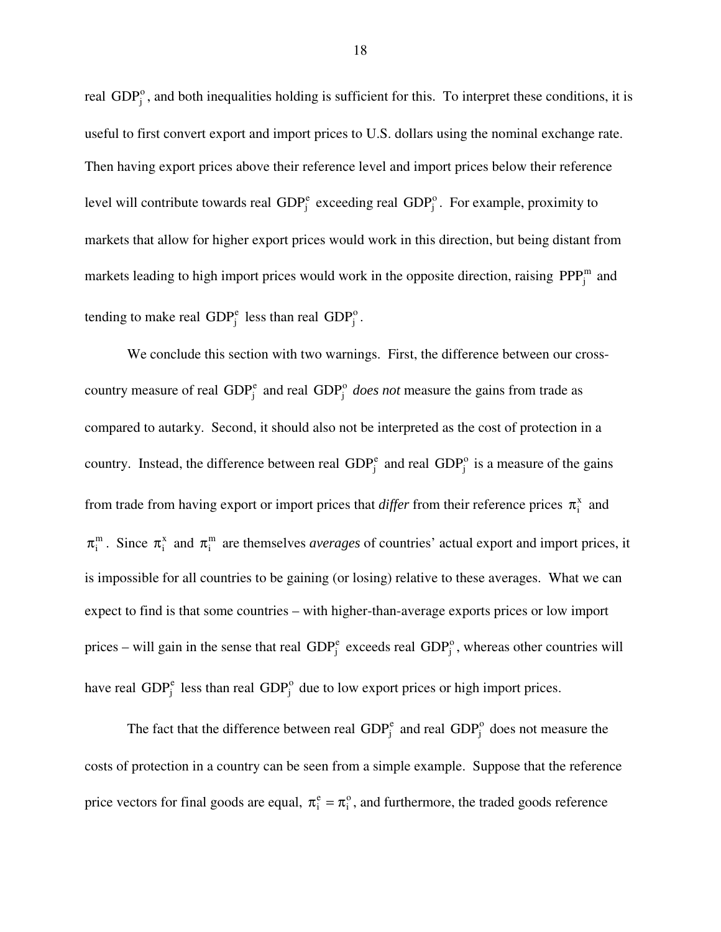real  $GDP<sub>i</sub><sup>o</sup>$ , and both inequalities holding is sufficient for this. To interpret these conditions, it is useful to first convert export and import prices to U.S. dollars using the nominal exchange rate. Then having export prices above their reference level and import prices below their reference level will contribute towards real  $GDP_j^e$  exceeding real  $GDP_j^o$ . For example, proximity to markets that allow for higher export prices would work in this direction, but being distant from markets leading to high import prices would work in the opposite direction, raising  $PPP_i^m$  and tending to make real  $GDP_j^e$  less than real  $GDP_j^o$ .

 We conclude this section with two warnings. First, the difference between our crosscountry measure of real  $GDP_j^e$  and real  $GDP_j^o$  *does not* measure the gains from trade as compared to autarky. Second, it should also not be interpreted as the cost of protection in a country. Instead, the difference between real  $GDP_j^e$  and real  $GDP_j^o$  is a measure of the gains from trade from having export or import prices that *differ* from their reference prices  $\pi_i^x$  and  $\pi_i^m$ . Since  $\pi_i^x$  and  $\pi_i^m$  are themselves *averages* of countries' actual export and import prices, it is impossible for all countries to be gaining (or losing) relative to these averages. What we can expect to find is that some countries – with higher-than-average exports prices or low import prices – will gain in the sense that real  $GDP_j^e$  exceeds real  $GDP_j^o$ , whereas other countries will have real  $GDP_j^e$  less than real  $GDP_j^o$  due to low export prices or high import prices.

The fact that the difference between real  $GDP_j^e$  and real  $GDP_j^o$  does not measure the costs of protection in a country can be seen from a simple example. Suppose that the reference price vectors for final goods are equal,  $\pi_i^e = \pi_i^o$ , and furthermore, the traded goods reference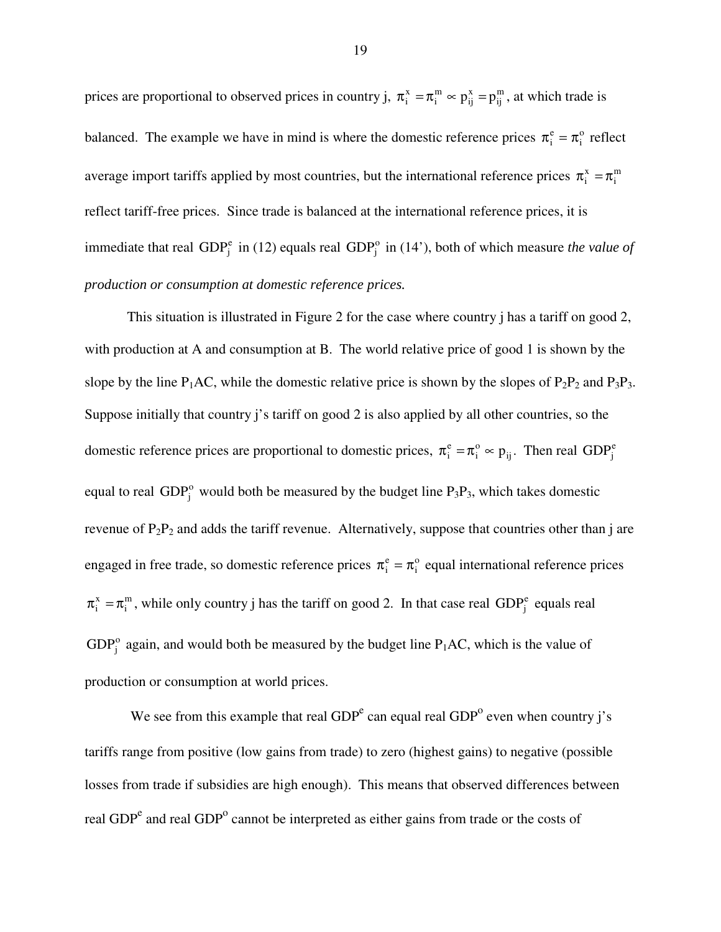prices are proportional to observed prices in country j,  $\pi_i^x = \pi_i^m \approx p_{ij}^x = p_{ij}^m$ x ij m  $\pi_i^x = \pi_i^m \approx p_{ij}^x = p_{ij}^m$ , at which trade is balanced. The example we have in mind is where the domestic reference prices  $\pi_i^e = \pi_i^o$  reflect average import tariffs applied by most countries, but the international reference prices  $\pi_i^x = \pi_i^m$ reflect tariff-free prices. Since trade is balanced at the international reference prices, it is immediate that real GDP $_j^e$  in (12) equals real GDP $_j^o$  in (14'), both of which measure *the value of production or consumption at domestic reference prices.* 

This situation is illustrated in Figure 2 for the case where country j has a tariff on good 2, with production at A and consumption at B. The world relative price of good 1 is shown by the slope by the line  $P_1AC$ , while the domestic relative price is shown by the slopes of  $P_2P_2$  and  $P_3P_3$ . Suppose initially that country j's tariff on good 2 is also applied by all other countries, so the domestic reference prices are proportional to domestic prices,  $\pi_i^e = \pi_i^o \sim p_{ij}$  $\pi_i^e = \pi_i^o \approx p_{ij}$ . Then real  $GDP_j^e$ equal to real GDP $_i^{\circ}$  would both be measured by the budget line P<sub>3</sub>P<sub>3</sub>, which takes domestic revenue of  $P_2P_2$  and adds the tariff revenue. Alternatively, suppose that countries other than j are engaged in free trade, so domestic reference prices  $\pi_i^e = \pi_i^o$  equal international reference prices m  $\pi_i^x = \pi_i^m$ , while only country j has the tariff on good 2. In that case real GDP<sub>j</sub> equals real  $GDP_i^o$  again, and would both be measured by the budget line  $P_1AC$ , which is the value of production or consumption at world prices.

We see from this example that real  $GDP<sup>e</sup>$  can equal real  $GDP<sup>o</sup>$  even when country j's tariffs range from positive (low gains from trade) to zero (highest gains) to negative (possible losses from trade if subsidies are high enough). This means that observed differences between real GDP<sup>e</sup> and real GDP<sup>o</sup> cannot be interpreted as either gains from trade or the costs of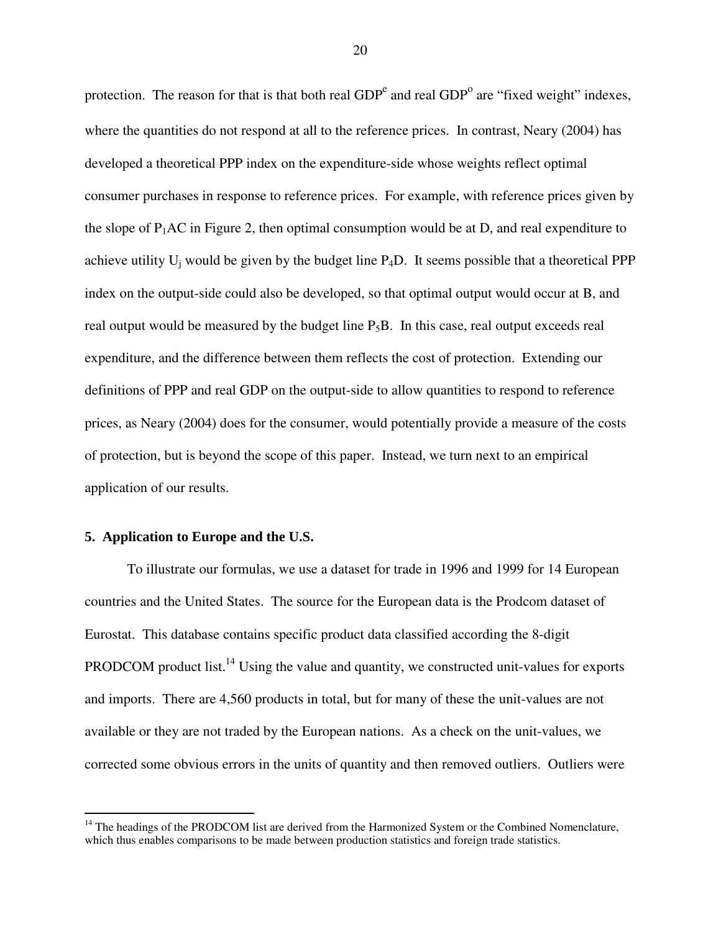protection. The reason for that is that both real  $GDP<sup>e</sup>$  and real  $GDP<sup>o</sup>$  are "fixed weight" indexes, where the quantities do not respond at all to the reference prices. In contrast, Neary (2004) has developed a theoretical PPP index on the expenditure-side whose weights reflect optimal consumer purchases in response to reference prices. For example, with reference prices given by the slope of  $P_1$ AC in Figure 2, then optimal consumption would be at D, and real expenditure to achieve utility  $U_i$  would be given by the budget line  $P_4D$ . It seems possible that a theoretical PPP index on the output-side could also be developed, so that optimal output would occur at B, and real output would be measured by the budget line  $P_5B$ . In this case, real output exceeds real expenditure, and the difference between them reflects the cost of protection. Extending our definitions of PPP and real GDP on the output-side to allow quantities to respond to reference prices, as Neary (2004) does for the consumer, would potentially provide a measure of the costs of protection, but is beyond the scope of this paper. Instead, we turn next to an empirical application of our results.

#### **5. Application to Europe and the U.S.**

-

 To illustrate our formulas, we use a dataset for trade in 1996 and 1999 for 14 European countries and the United States. The source for the European data is the Prodcom dataset of Eurostat. This database contains specific product data classified according the 8-digit PRODCOM product list.<sup>14</sup> Using the value and quantity, we constructed unit-values for exports and imports. There are 4,560 products in total, but for many of these the unit-values are not available or they are not traded by the European nations. As a check on the unit-values, we corrected some obvious errors in the units of quantity and then removed outliers. Outliers were

<sup>&</sup>lt;sup>14</sup> The headings of the PRODCOM list are derived from the Harmonized System or the Combined Nomenclature, which thus enables comparisons to be made between production statistics and foreign trade statistics.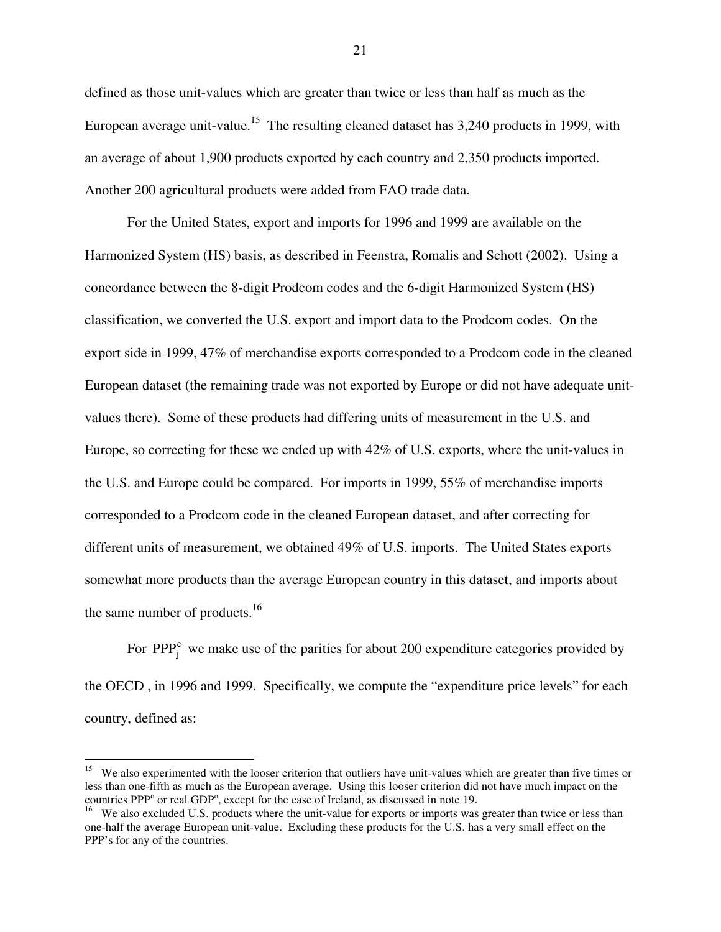defined as those unit-values which are greater than twice or less than half as much as the European average unit-value.<sup>15</sup> The resulting cleaned dataset has  $3,240$  products in 1999, with an average of about 1,900 products exported by each country and 2,350 products imported. Another 200 agricultural products were added from FAO trade data.

 For the United States, export and imports for 1996 and 1999 are available on the Harmonized System (HS) basis, as described in Feenstra, Romalis and Schott (2002). Using a concordance between the 8-digit Prodcom codes and the 6-digit Harmonized System (HS) classification, we converted the U.S. export and import data to the Prodcom codes. On the export side in 1999, 47% of merchandise exports corresponded to a Prodcom code in the cleaned European dataset (the remaining trade was not exported by Europe or did not have adequate unitvalues there). Some of these products had differing units of measurement in the U.S. and Europe, so correcting for these we ended up with 42% of U.S. exports, where the unit-values in the U.S. and Europe could be compared. For imports in 1999, 55% of merchandise imports corresponded to a Prodcom code in the cleaned European dataset, and after correcting for different units of measurement, we obtained 49% of U.S. imports. The United States exports somewhat more products than the average European country in this dataset, and imports about the same number of products.<sup>16</sup>

For  $PPP_i^e$  we make use of the parities for about 200 expenditure categories provided by the OECD , in 1996 and 1999. Specifically, we compute the "expenditure price levels" for each country, defined as:

<u>.</u>

<sup>&</sup>lt;sup>15</sup> We also experimented with the looser criterion that outliers have unit-values which are greater than five times or less than one-fifth as much as the European average. Using this looser criterion did not have much impact on the countries PPP<sup>o</sup> or real GDP<sup>o</sup>, except for the case of Ireland, as discussed in note 19.

<sup>&</sup>lt;sup>16</sup> We also excluded U.S. products where the unit-value for exports or imports was greater than twice or less than one-half the average European unit-value. Excluding these products for the U.S. has a very small effect on the PPP's for any of the countries.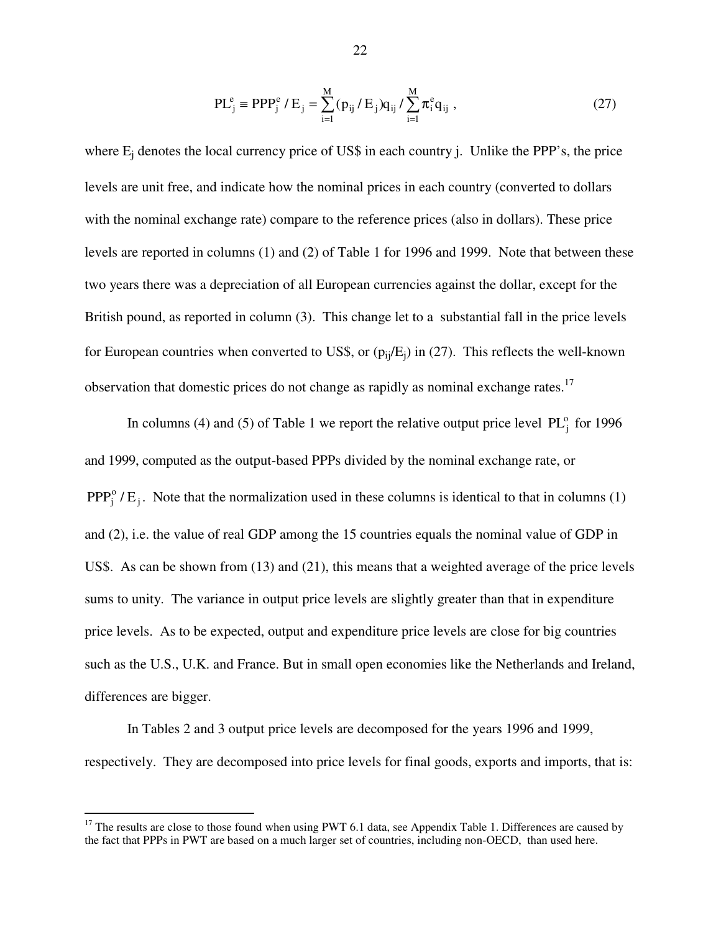$$
PL_j^e \equiv PPP_j^e / E_j = \sum_{i=1}^M (p_{ij} / E_j) q_{ij} / \sum_{i=1}^M \pi_i^e q_{ij} ,
$$
 (27)

where  $E_i$  denotes the local currency price of US\$ in each country j. Unlike the PPP's, the price levels are unit free, and indicate how the nominal prices in each country (converted to dollars with the nominal exchange rate) compare to the reference prices (also in dollars). These price levels are reported in columns (1) and (2) of Table 1 for 1996 and 1999. Note that between these two years there was a depreciation of all European currencies against the dollar, except for the British pound, as reported in column (3). This change let to a substantial fall in the price levels for European countries when converted to US\$, or  $(p_{ij}/E_i)$  in (27). This reflects the well-known observation that domestic prices do not change as rapidly as nominal exchange rates.<sup>17</sup>

In columns (4) and (5) of Table 1 we report the relative output price level  $PL_i^o$  for 1996 and 1999, computed as the output-based PPPs divided by the nominal exchange rate, or  $PPP_j^o / E_j$ . Note that the normalization used in these columns is identical to that in columns (1) and (2), i.e. the value of real GDP among the 15 countries equals the nominal value of GDP in US\$. As can be shown from (13) and (21), this means that a weighted average of the price levels sums to unity. The variance in output price levels are slightly greater than that in expenditure price levels. As to be expected, output and expenditure price levels are close for big countries such as the U.S., U.K. and France. But in small open economies like the Netherlands and Ireland, differences are bigger.

 In Tables 2 and 3 output price levels are decomposed for the years 1996 and 1999, respectively. They are decomposed into price levels for final goods, exports and imports, that is:

-

 $17$  The results are close to those found when using PWT 6.1 data, see Appendix Table 1. Differences are caused by the fact that PPPs in PWT are based on a much larger set of countries, including non-OECD, than used here.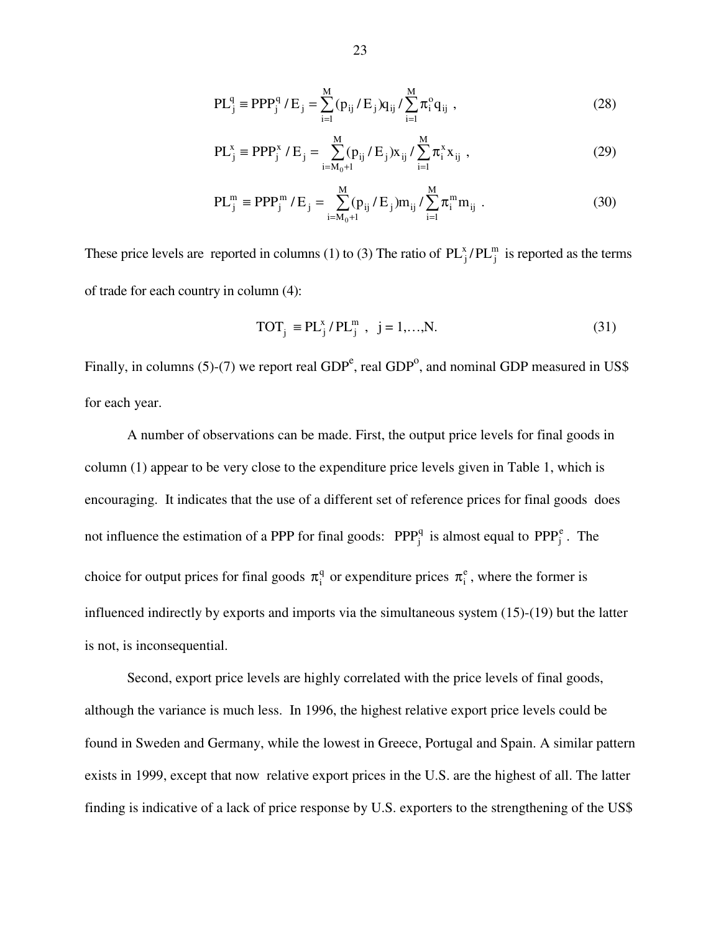$$
PL_j^q \equiv PPP_j^q / E_j = \sum_{i=1}^M (p_{ij} / E_j) q_{ij} / \sum_{i=1}^M \pi_i^q q_{ij} ,
$$
 (28)

$$
PL_j^x \equiv PPP_j^x / E_j = \sum_{i=M_0+1}^{M} (p_{ij} / E_j) x_{ij} / \sum_{i=1}^{M} \pi_i^x x_{ij} ,
$$
 (29)

$$
PL_j^m \equiv PPP_j^m / E_j = \sum_{i=M_0+1}^{M} (p_{ij} / E_j) m_{ij} / \sum_{i=1}^{M} \pi_i^m m_{ij} .
$$
 (30)

These price levels are reported in columns (1) to (3) The ratio of  $PL_j^x/PL_j^m$  is reported as the terms of trade for each country in column (4):

$$
TOT_j \equiv PL_j^x / PL_j^m , j = 1,...,N.
$$
 (31)

Finally, in columns (5)-(7) we report real  $GDP<sup>e</sup>$ , real  $GDP<sup>o</sup>$ , and nominal GDP measured in US\$ for each year.

A number of observations can be made. First, the output price levels for final goods in column (1) appear to be very close to the expenditure price levels given in Table 1, which is encouraging. It indicates that the use of a different set of reference prices for final goods does not influence the estimation of a PPP for final goods:  $PPP_j^q$  is almost equal to  $PPP_j^e$ . The choice for output prices for final goods  $\pi_i^q$  or expenditure prices  $\pi_i^e$ , where the former is influenced indirectly by exports and imports via the simultaneous system (15)-(19) but the latter is not, is inconsequential.

Second, export price levels are highly correlated with the price levels of final goods, although the variance is much less. In 1996, the highest relative export price levels could be found in Sweden and Germany, while the lowest in Greece, Portugal and Spain. A similar pattern exists in 1999, except that now relative export prices in the U.S. are the highest of all. The latter finding is indicative of a lack of price response by U.S. exporters to the strengthening of the US\$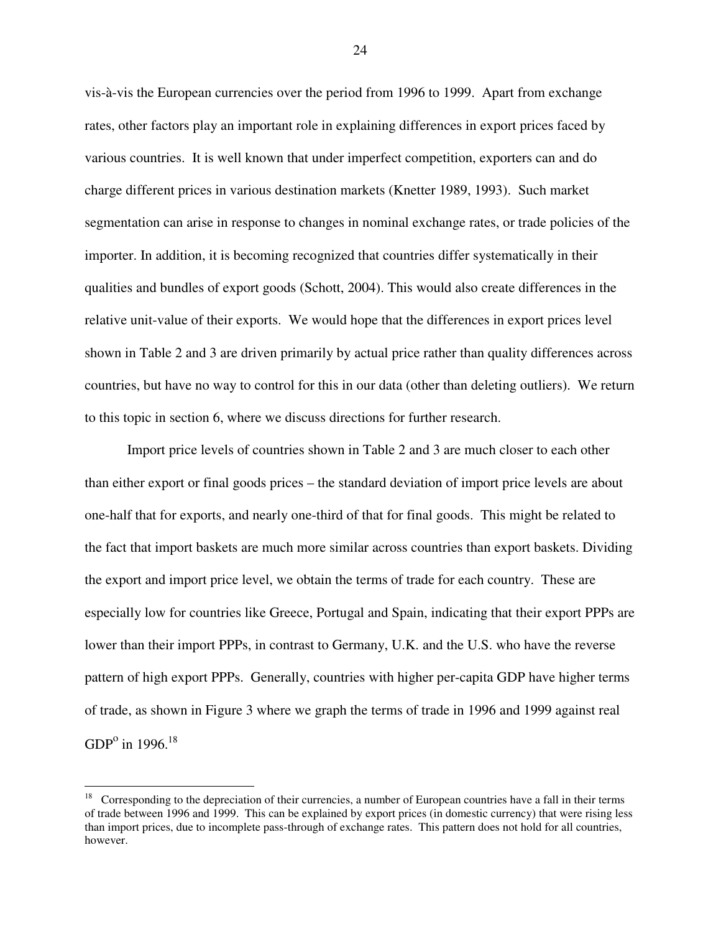vis-à-vis the European currencies over the period from 1996 to 1999. Apart from exchange rates, other factors play an important role in explaining differences in export prices faced by various countries. It is well known that under imperfect competition, exporters can and do charge different prices in various destination markets (Knetter 1989, 1993). Such market segmentation can arise in response to changes in nominal exchange rates, or trade policies of the importer. In addition, it is becoming recognized that countries differ systematically in their qualities and bundles of export goods (Schott, 2004). This would also create differences in the relative unit-value of their exports. We would hope that the differences in export prices level shown in Table 2 and 3 are driven primarily by actual price rather than quality differences across countries, but have no way to control for this in our data (other than deleting outliers). We return to this topic in section 6, where we discuss directions for further research.

Import price levels of countries shown in Table 2 and 3 are much closer to each other than either export or final goods prices – the standard deviation of import price levels are about one-half that for exports, and nearly one-third of that for final goods. This might be related to the fact that import baskets are much more similar across countries than export baskets. Dividing the export and import price level, we obtain the terms of trade for each country. These are especially low for countries like Greece, Portugal and Spain, indicating that their export PPPs are lower than their import PPPs, in contrast to Germany, U.K. and the U.S. who have the reverse pattern of high export PPPs. Generally, countries with higher per-capita GDP have higher terms of trade, as shown in Figure 3 where we graph the terms of trade in 1996 and 1999 against real GDP<sup>o</sup> in 1996.<sup>18</sup>

-

<sup>&</sup>lt;sup>18</sup> Corresponding to the depreciation of their currencies, a number of European countries have a fall in their terms of trade between 1996 and 1999. This can be explained by export prices (in domestic currency) that were rising less than import prices, due to incomplete pass-through of exchange rates. This pattern does not hold for all countries, however.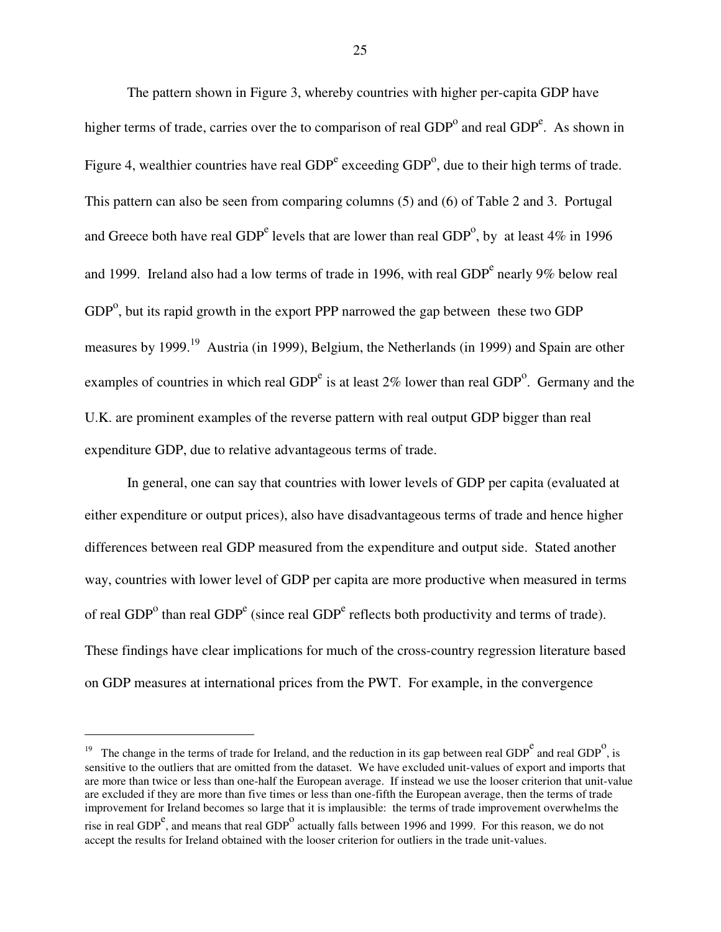The pattern shown in Figure 3, whereby countries with higher per-capita GDP have higher terms of trade, carries over the to comparison of real  $GDP<sup>o</sup>$  and real  $GDP<sup>e</sup>$ . As shown in Figure 4, wealthier countries have real  $GDP<sup>e</sup>$  exceeding  $GDP<sup>o</sup>$ , due to their high terms of trade. This pattern can also be seen from comparing columns (5) and (6) of Table 2 and 3. Portugal and Greece both have real GDP<sup>e</sup> levels that are lower than real GDP<sup>o</sup>, by at least 4% in 1996 and 1999. Ireland also had a low terms of trade in 1996, with real  $GDP<sup>e</sup>$  nearly 9% below real  $GDP<sup>o</sup>$ , but its rapid growth in the export PPP narrowed the gap between these two GDP measures by 1999.<sup>19</sup> Austria (in 1999), Belgium, the Netherlands (in 1999) and Spain are other examples of countries in which real  $GDP<sup>e</sup>$  is at least 2% lower than real  $GDP<sup>o</sup>$ . Germany and the U.K. are prominent examples of the reverse pattern with real output GDP bigger than real expenditure GDP, due to relative advantageous terms of trade.

In general, one can say that countries with lower levels of GDP per capita (evaluated at either expenditure or output prices), also have disadvantageous terms of trade and hence higher differences between real GDP measured from the expenditure and output side. Stated another way, countries with lower level of GDP per capita are more productive when measured in terms of real  $GDP<sup>o</sup>$  than real  $GDP<sup>e</sup>$  (since real  $GDP<sup>e</sup>$  reflects both productivity and terms of trade). These findings have clear implications for much of the cross-country regression literature based on GDP measures at international prices from the PWT. For example, in the convergence

<u>.</u>

<sup>&</sup>lt;sup>19</sup> The change in the terms of trade for Ireland, and the reduction in its gap between real GDP<sup>e</sup> and real GDP<sup>o</sup>, is sensitive to the outliers that are omitted from the dataset. We have excluded unit-values of export and imports that are more than twice or less than one-half the European average. If instead we use the looser criterion that unit-value are excluded if they are more than five times or less than one-fifth the European average, then the terms of trade improvement for Ireland becomes so large that it is implausible: the terms of trade improvement overwhelms the rise in real GDP<sup>e</sup>, and means that real GDP<sup>o</sup> actually falls between 1996 and 1999. For this reason, we do not accept the results for Ireland obtained with the looser criterion for outliers in the trade unit-values.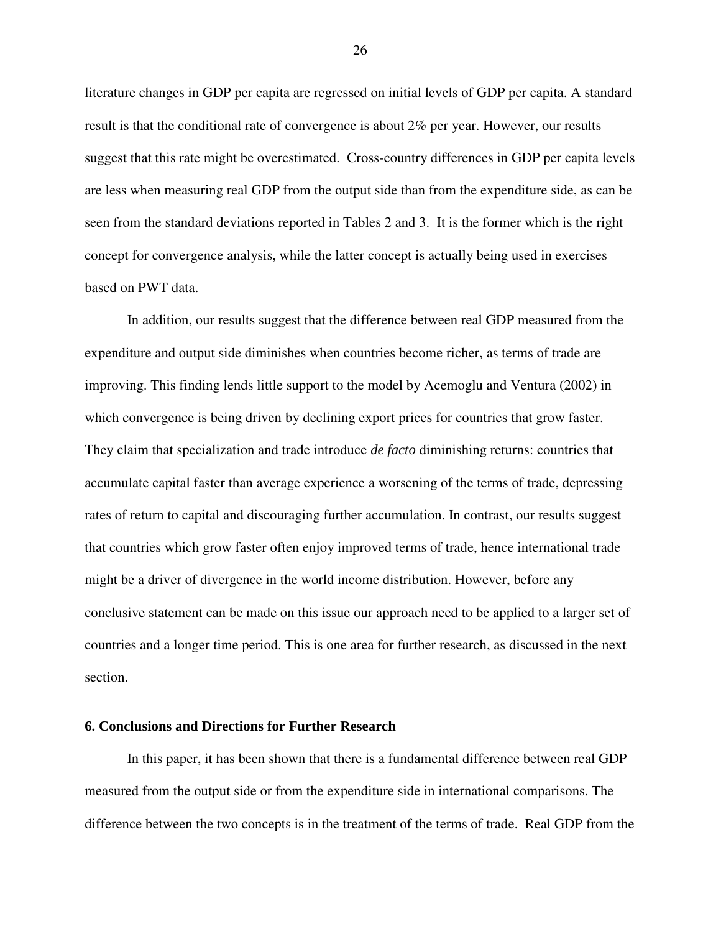literature changes in GDP per capita are regressed on initial levels of GDP per capita. A standard result is that the conditional rate of convergence is about 2% per year. However, our results suggest that this rate might be overestimated. Cross-country differences in GDP per capita levels are less when measuring real GDP from the output side than from the expenditure side, as can be seen from the standard deviations reported in Tables 2 and 3. It is the former which is the right concept for convergence analysis, while the latter concept is actually being used in exercises based on PWT data.

In addition, our results suggest that the difference between real GDP measured from the expenditure and output side diminishes when countries become richer, as terms of trade are improving. This finding lends little support to the model by Acemoglu and Ventura (2002) in which convergence is being driven by declining export prices for countries that grow faster. They claim that specialization and trade introduce *de facto* diminishing returns: countries that accumulate capital faster than average experience a worsening of the terms of trade, depressing rates of return to capital and discouraging further accumulation. In contrast, our results suggest that countries which grow faster often enjoy improved terms of trade, hence international trade might be a driver of divergence in the world income distribution. However, before any conclusive statement can be made on this issue our approach need to be applied to a larger set of countries and a longer time period. This is one area for further research, as discussed in the next section.

### **6. Conclusions and Directions for Further Research**

 In this paper, it has been shown that there is a fundamental difference between real GDP measured from the output side or from the expenditure side in international comparisons. The difference between the two concepts is in the treatment of the terms of trade. Real GDP from the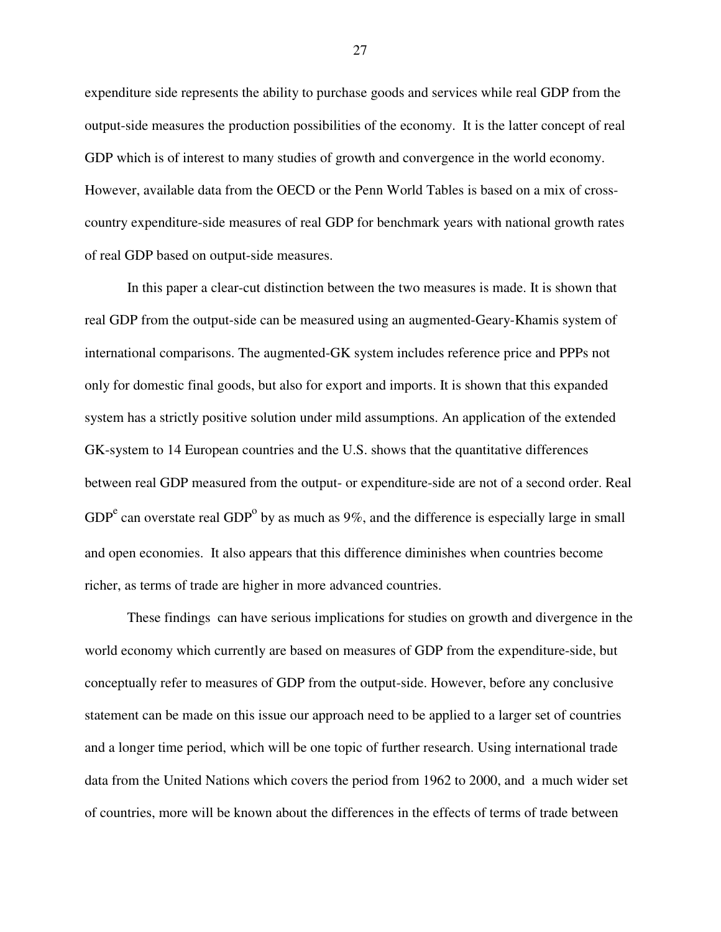expenditure side represents the ability to purchase goods and services while real GDP from the output-side measures the production possibilities of the economy. It is the latter concept of real GDP which is of interest to many studies of growth and convergence in the world economy. However, available data from the OECD or the Penn World Tables is based on a mix of crosscountry expenditure-side measures of real GDP for benchmark years with national growth rates of real GDP based on output-side measures.

In this paper a clear-cut distinction between the two measures is made. It is shown that real GDP from the output-side can be measured using an augmented-Geary-Khamis system of international comparisons. The augmented-GK system includes reference price and PPPs not only for domestic final goods, but also for export and imports. It is shown that this expanded system has a strictly positive solution under mild assumptions. An application of the extended GK-system to 14 European countries and the U.S. shows that the quantitative differences between real GDP measured from the output- or expenditure-side are not of a second order. Real GDP<sup>e</sup> can overstate real GDP<sup>o</sup> by as much as 9%, and the difference is especially large in small and open economies. It also appears that this difference diminishes when countries become richer, as terms of trade are higher in more advanced countries.

These findings can have serious implications for studies on growth and divergence in the world economy which currently are based on measures of GDP from the expenditure-side, but conceptually refer to measures of GDP from the output-side. However, before any conclusive statement can be made on this issue our approach need to be applied to a larger set of countries and a longer time period, which will be one topic of further research. Using international trade data from the United Nations which covers the period from 1962 to 2000, and a much wider set of countries, more will be known about the differences in the effects of terms of trade between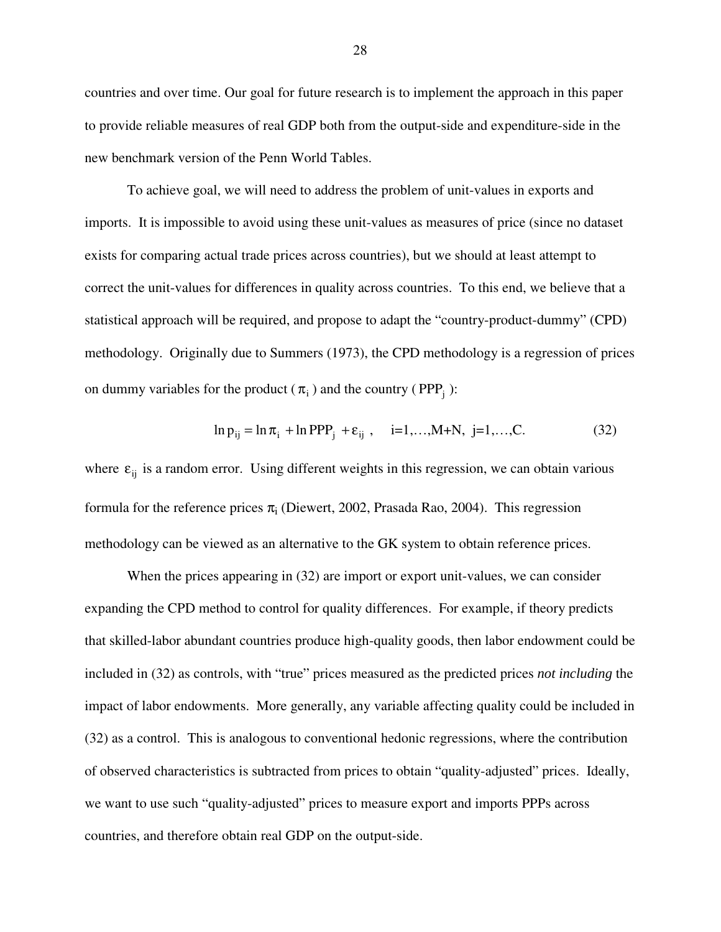countries and over time. Our goal for future research is to implement the approach in this paper to provide reliable measures of real GDP both from the output-side and expenditure-side in the new benchmark version of the Penn World Tables.

To achieve goal, we will need to address the problem of unit-values in exports and imports. It is impossible to avoid using these unit-values as measures of price (since no dataset exists for comparing actual trade prices across countries), but we should at least attempt to correct the unit-values for differences in quality across countries. To this end, we believe that a statistical approach will be required, and propose to adapt the "country-product-dummy" (CPD) methodology. Originally due to Summers (1973), the CPD methodology is a regression of prices on dummy variables for the product ( $\pi$ <sub>i</sub>) and the country (PPP<sub>i</sub>):

$$
\ln p_{ij} = \ln \pi_i + \ln \text{PPP}_j + \varepsilon_{ij}, \quad i=1,...,M+N, j=1,...,C.
$$
 (32)

where  $\varepsilon_{ii}$  is a random error. Using different weights in this regression, we can obtain various formula for the reference prices  $\pi_i$  (Diewert, 2002, Prasada Rao, 2004). This regression methodology can be viewed as an alternative to the GK system to obtain reference prices.

 When the prices appearing in (32) are import or export unit-values, we can consider expanding the CPD method to control for quality differences. For example, if theory predicts that skilled-labor abundant countries produce high-quality goods, then labor endowment could be included in (32) as controls, with "true" prices measured as the predicted prices *not including* the impact of labor endowments. More generally, any variable affecting quality could be included in (32) as a control. This is analogous to conventional hedonic regressions, where the contribution of observed characteristics is subtracted from prices to obtain "quality-adjusted" prices. Ideally, we want to use such "quality-adjusted" prices to measure export and imports PPPs across countries, and therefore obtain real GDP on the output-side.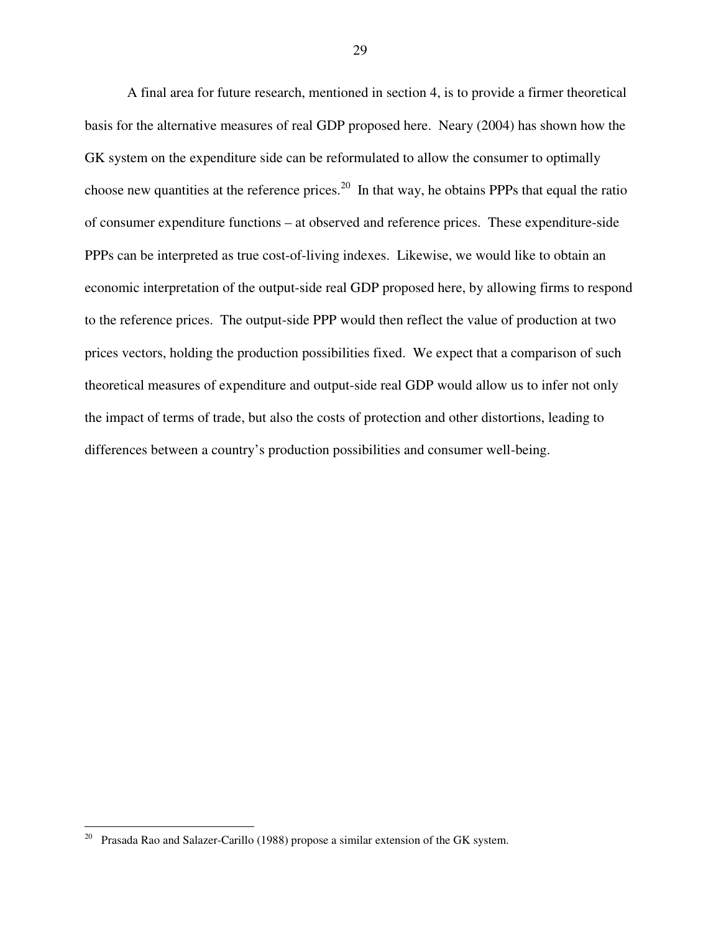A final area for future research, mentioned in section 4, is to provide a firmer theoretical basis for the alternative measures of real GDP proposed here. Neary (2004) has shown how the GK system on the expenditure side can be reformulated to allow the consumer to optimally choose new quantities at the reference prices.<sup>20</sup> In that way, he obtains PPPs that equal the ratio of consumer expenditure functions – at observed and reference prices. These expenditure-side PPPs can be interpreted as true cost-of-living indexes. Likewise, we would like to obtain an economic interpretation of the output-side real GDP proposed here, by allowing firms to respond to the reference prices. The output-side PPP would then reflect the value of production at two prices vectors, holding the production possibilities fixed. We expect that a comparison of such theoretical measures of expenditure and output-side real GDP would allow us to infer not only the impact of terms of trade, but also the costs of protection and other distortions, leading to differences between a country's production possibilities and consumer well-being.

<u>.</u>

 $20$  Prasada Rao and Salazer-Carillo (1988) propose a similar extension of the GK system.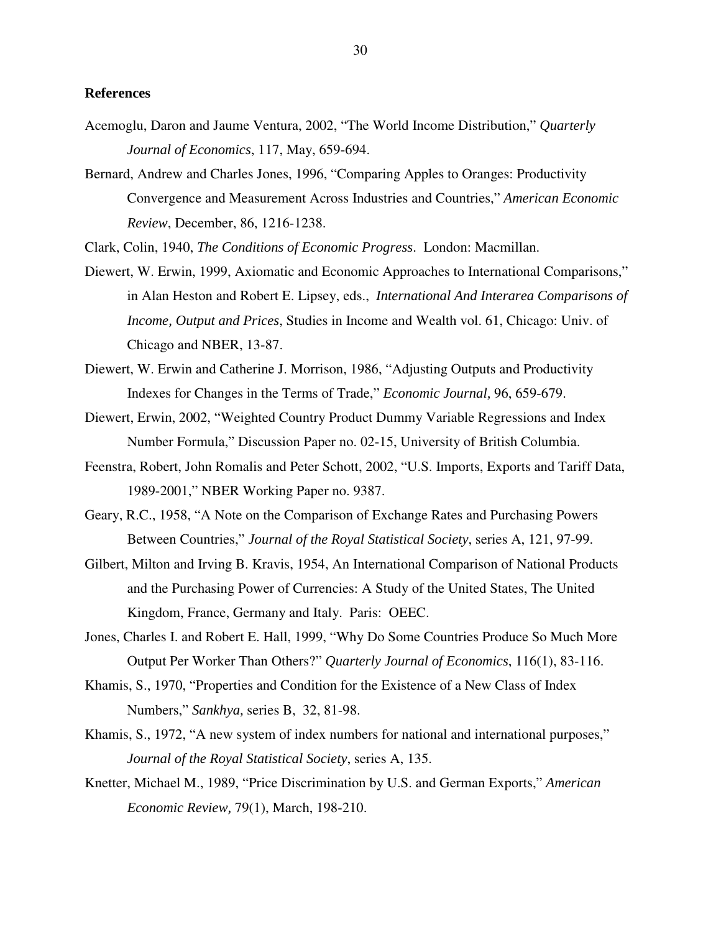#### **References**

- Acemoglu, Daron and Jaume Ventura, 2002, "The World Income Distribution," *Quarterly Journal of Economics*, 117, May, 659-694.
- Bernard, Andrew and Charles Jones, 1996, "Comparing Apples to Oranges: Productivity Convergence and Measurement Across Industries and Countries," *American Economic Review*, December, 86, 1216-1238.

Clark, Colin, 1940, *The Conditions of Economic Progress*. London: Macmillan.

- Diewert, W. Erwin, 1999, Axiomatic and Economic Approaches to International Comparisons," in Alan Heston and Robert E. Lipsey, eds., *International And Interarea Comparisons of Income, Output and Prices*, Studies in Income and Wealth vol. 61, Chicago: Univ. of Chicago and NBER, 13-87.
- Diewert, W. Erwin and Catherine J. Morrison, 1986, "Adjusting Outputs and Productivity Indexes for Changes in the Terms of Trade," *Economic Journal,* 96, 659-679.
- Diewert, Erwin, 2002, "Weighted Country Product Dummy Variable Regressions and Index Number Formula," Discussion Paper no. 02-15, University of British Columbia.
- Feenstra, Robert, John Romalis and Peter Schott, 2002, "U.S. Imports, Exports and Tariff Data, 1989-2001," NBER Working Paper no. 9387.
- Geary, R.C., 1958, "A Note on the Comparison of Exchange Rates and Purchasing Powers Between Countries," *Journal of the Royal Statistical Society*, series A, 121, 97-99.
- Gilbert, Milton and Irving B. Kravis, 1954, An International Comparison of National Products and the Purchasing Power of Currencies: A Study of the United States, The United Kingdom, France, Germany and Italy. Paris: OEEC.
- Jones, Charles I. and Robert E. Hall, 1999, "Why Do Some Countries Produce So Much More Output Per Worker Than Others?" *Quarterly Journal of Economics*, 116(1), 83-116.
- Khamis, S., 1970, "Properties and Condition for the Existence of a New Class of Index Numbers," *Sankhya,* series B, 32, 81-98.
- Khamis, S., 1972, "A new system of index numbers for national and international purposes," *Journal of the Royal Statistical Society*, series A, 135.
- Knetter, Michael M., 1989, "Price Discrimination by U.S. and German Exports," *American Economic Review,* 79(1), March, 198-210.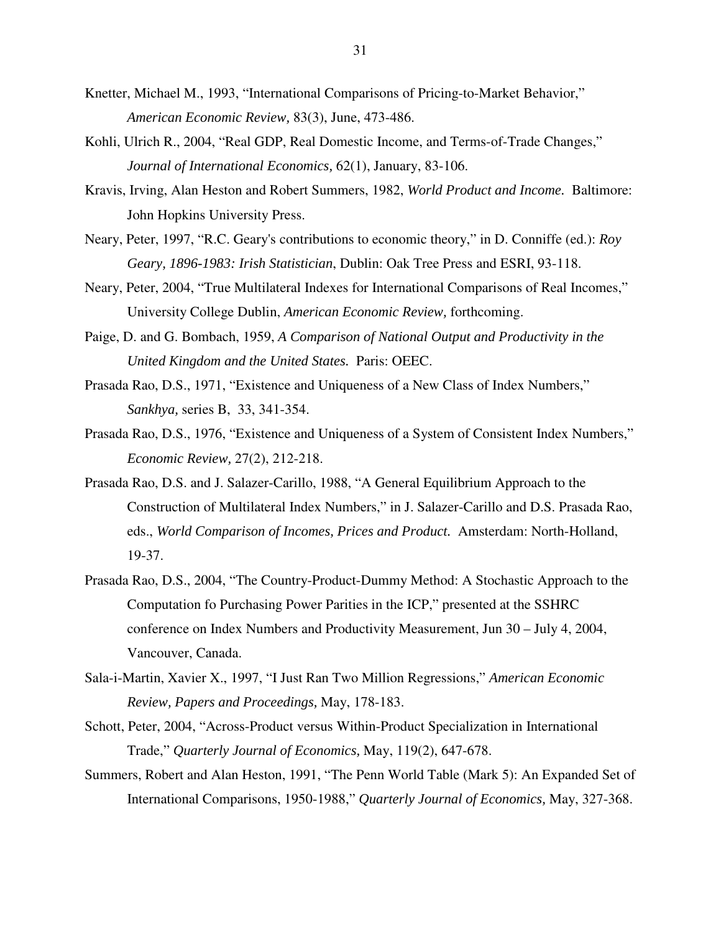- Knetter, Michael M., 1993, "International Comparisons of Pricing-to-Market Behavior," *American Economic Review,* 83(3), June, 473-486.
- Kohli, Ulrich R., 2004, "Real GDP, Real Domestic Income, and Terms-of-Trade Changes," *Journal of International Economics,* 62(1), January, 83-106.
- Kravis, Irving, Alan Heston and Robert Summers, 1982, *World Product and Income.* Baltimore: John Hopkins University Press.
- Neary, Peter, 1997, "R.C. Geary's contributions to economic theory," in D. Conniffe (ed.): *Roy Geary, 1896-1983: Irish Statistician*, Dublin: Oak Tree Press and ESRI, 93-118.
- Neary, Peter, 2004, "True Multilateral Indexes for International Comparisons of Real Incomes," University College Dublin, *American Economic Review,* forthcoming.
- Paige, D. and G. Bombach, 1959, *A Comparison of National Output and Productivity in the United Kingdom and the United States.* Paris: OEEC.
- Prasada Rao, D.S., 1971, "Existence and Uniqueness of a New Class of Index Numbers," *Sankhya,* series B, 33, 341-354.
- Prasada Rao, D.S., 1976, "Existence and Uniqueness of a System of Consistent Index Numbers," *Economic Review,* 27(2), 212-218.
- Prasada Rao, D.S. and J. Salazer-Carillo, 1988, "A General Equilibrium Approach to the Construction of Multilateral Index Numbers," in J. Salazer-Carillo and D.S. Prasada Rao, eds., *World Comparison of Incomes, Prices and Product.* Amsterdam: North-Holland, 19-37.
- Prasada Rao, D.S., 2004, "The Country-Product-Dummy Method: A Stochastic Approach to the Computation fo Purchasing Power Parities in the ICP," presented at the SSHRC conference on Index Numbers and Productivity Measurement, Jun 30 – July 4, 2004, Vancouver, Canada.
- Sala-i-Martin, Xavier X., 1997, "I Just Ran Two Million Regressions," *American Economic Review, Papers and Proceedings,* May, 178-183.
- Schott, Peter, 2004, "Across-Product versus Within-Product Specialization in International Trade," *Quarterly Journal of Economics,* May, 119(2), 647-678.
- Summers, Robert and Alan Heston, 1991, "The Penn World Table (Mark 5): An Expanded Set of International Comparisons, 1950-1988," *Quarterly Journal of Economics,* May, 327-368.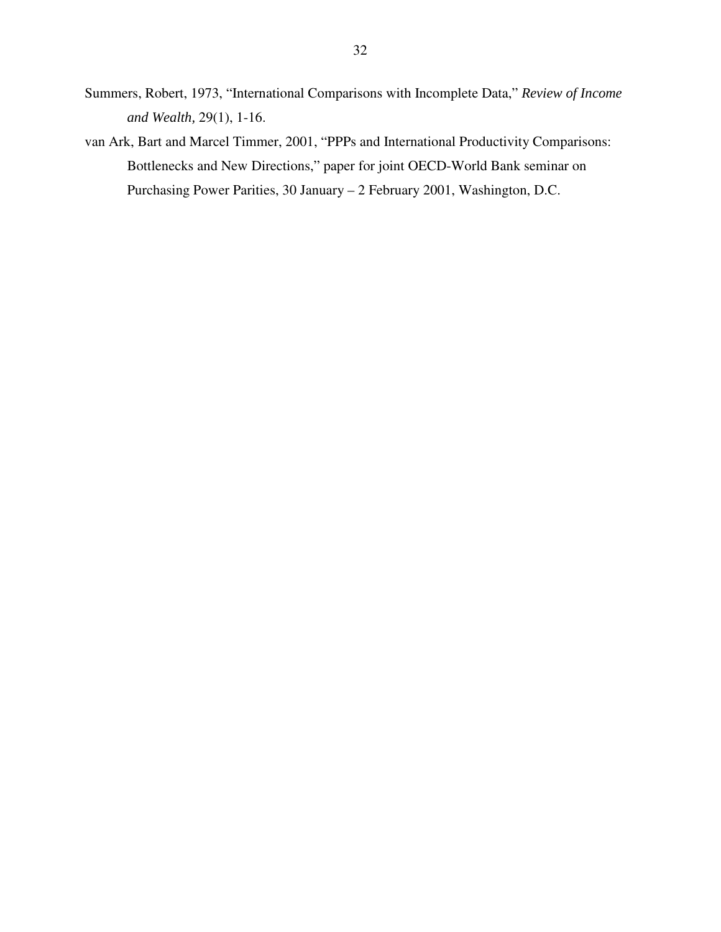- Summers, Robert, 1973, "International Comparisons with Incomplete Data," *Review of Income and Wealth,* 29(1), 1-16.
- van Ark, Bart and Marcel Timmer, 2001, "PPPs and International Productivity Comparisons: Bottlenecks and New Directions," paper for joint OECD-World Bank seminar on Purchasing Power Parities, 30 January – 2 February 2001, Washington, D.C.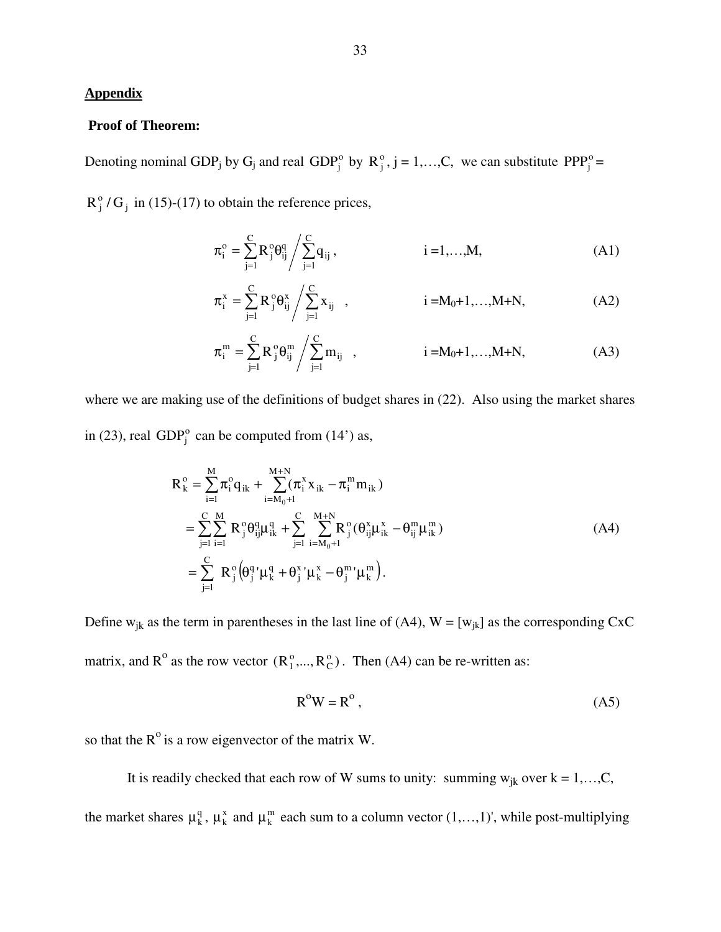#### **Appendix**

#### **Proof of Theorem:**

Denoting nominal GDP<sub>j</sub> by G<sub>j</sub> and real GDP<sub>j</sub><sup>o</sup> by R<sub>j</sub><sup>o</sup>, j = 1,...,C, we can substitute PPP<sub>j</sub><sup>o</sup> =

 $R_j^{\circ}/G_j$  in (15)-(17) to obtain the reference prices,

$$
\pi_i^o = \sum_{j=1}^C R_j^o \theta_{ij}^q / \sum_{j=1}^C q_{ij}, \qquad i = 1,...,M,
$$
 (A1)

$$
\pi_{i}^{x} = \sum_{j=1}^{C} R_{j}^{\circ} \theta_{ij}^{x} / \sum_{j=1}^{C} x_{ij} , \qquad i = M_{0} + 1,..., M+N, \qquad (A2)
$$

$$
\pi_{i}^{m} = \sum_{j=1}^{C} R_{j}^{\circ} \theta_{ij}^{m} / \sum_{j=1}^{C} m_{ij} , \qquad i = M_{0} + 1,...,M+N, \qquad (A3)
$$

where we are making use of the definitions of budget shares in (22). Also using the market shares in (23), real  $GDP_j^o$  can be computed from (14') as,

$$
R_{k}^{\circ} = \sum_{i=1}^{M} \pi_{i}^{\circ} q_{ik} + \sum_{i=M_{0}+1}^{M+N} (\pi_{i}^{x} x_{ik} - \pi_{i}^{m} m_{ik})
$$
  
\n
$$
= \sum_{j=1}^{C} \sum_{i=1}^{M} R_{j}^{\circ} \theta_{ij}^{q} \mu_{ik}^{q} + \sum_{j=1}^{C} \sum_{i=M_{0}+1}^{M+N} R_{j}^{\circ} (\theta_{ij}^{x} \mu_{ik}^{x} - \theta_{ij}^{m} \mu_{ik}^{m})
$$
  
\n
$$
= \sum_{j=1}^{C} R_{j}^{\circ} (\theta_{j}^{q} \mu_{k}^{q} + \theta_{j}^{x} \mu_{k}^{x} - \theta_{j}^{m} \mu_{k}^{m}).
$$
\n(A4)

Define  $w_{jk}$  as the term in parentheses in the last line of (A4),  $W = [w_{jk}]$  as the corresponding CxC matrix, and  $R^{\circ}$  as the row vector  $(R_1^{\circ},...,R_C^{\circ})$  $_1^0$ ,...,  $R_C^0$ ). Then (A4) can be re-written as:

$$
R^{o}W = R^{o}, \qquad (A5)
$$

so that the  $R^{\circ}$  is a row eigenvector of the matrix W.

It is readily checked that each row of W sums to unity: summing  $w_{jk}$  over  $k = 1,...,C$ , the market shares  $\mu_k^q$ ,  $\mu_k^x$  and  $\mu_k^m$  each sum to a column vector  $(1,...,1)$ ', while post-multiplying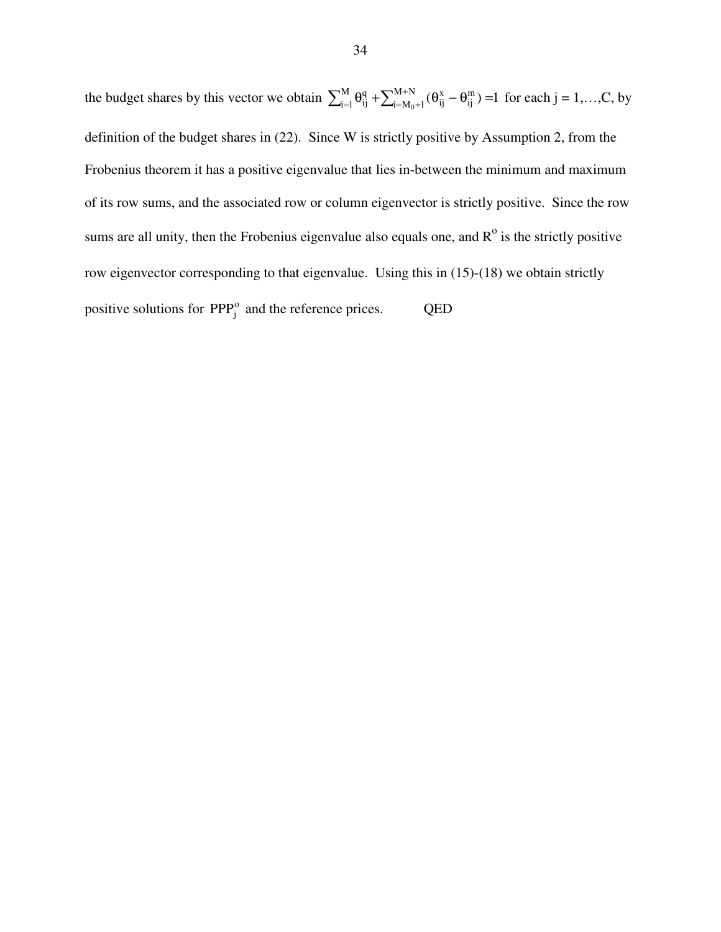the budget shares by this vector we obtain  $\sum_{i=1}^{M} \theta_{ij}^q + \sum_{i=M_0+1}^{M+N} (\theta_{ij}^x - \theta_{ij}^m) =1$ m ij x ij M  $i = 1$  $\sum_{i=1}^{M} \theta_{ij}^q + \sum_{i=M_0+1}^{M+N} (\theta_{ij}^x - \theta_{ij}^m) = 1$  for each  $j = 1,...,C$ , by definition of the budget shares in (22). Since W is strictly positive by Assumption 2, from the Frobenius theorem it has a positive eigenvalue that lies in-between the minimum and maximum of its row sums, and the associated row or column eigenvector is strictly positive. Since the row sums are all unity, then the Frobenius eigenvalue also equals one, and  $R^{\circ}$  is the strictly positive row eigenvector corresponding to that eigenvalue. Using this in (15)-(18) we obtain strictly positive solutions for  $PPP_j^o$  and the reference prices. QED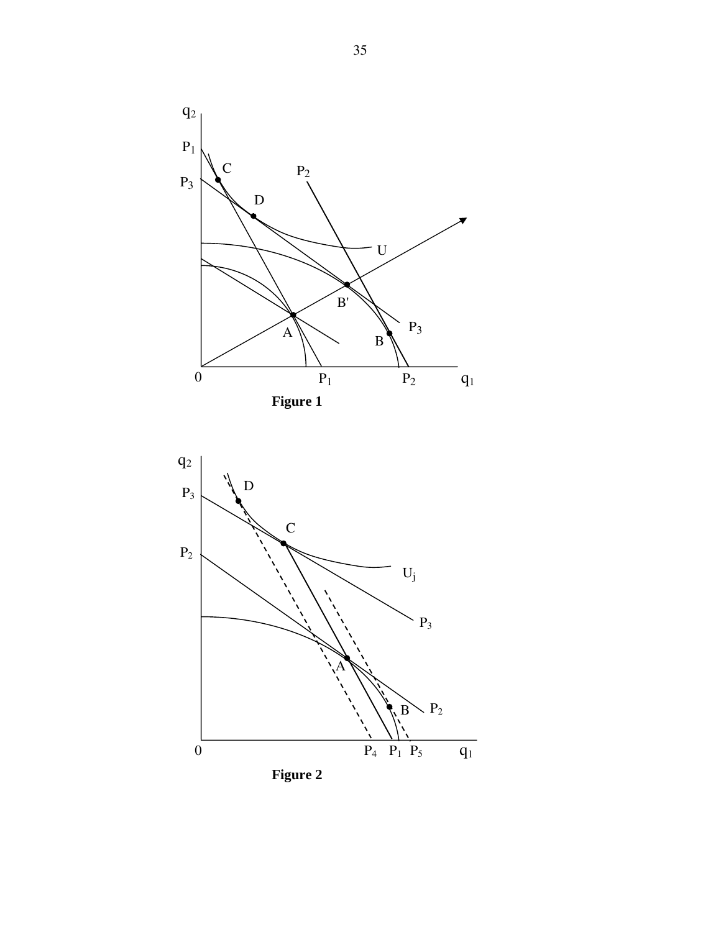

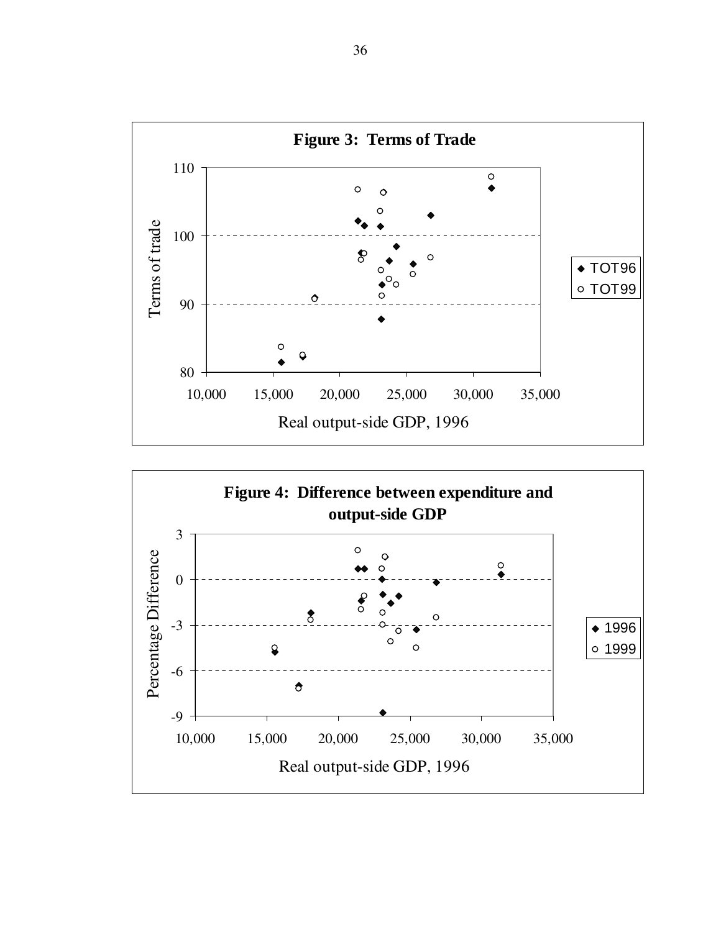

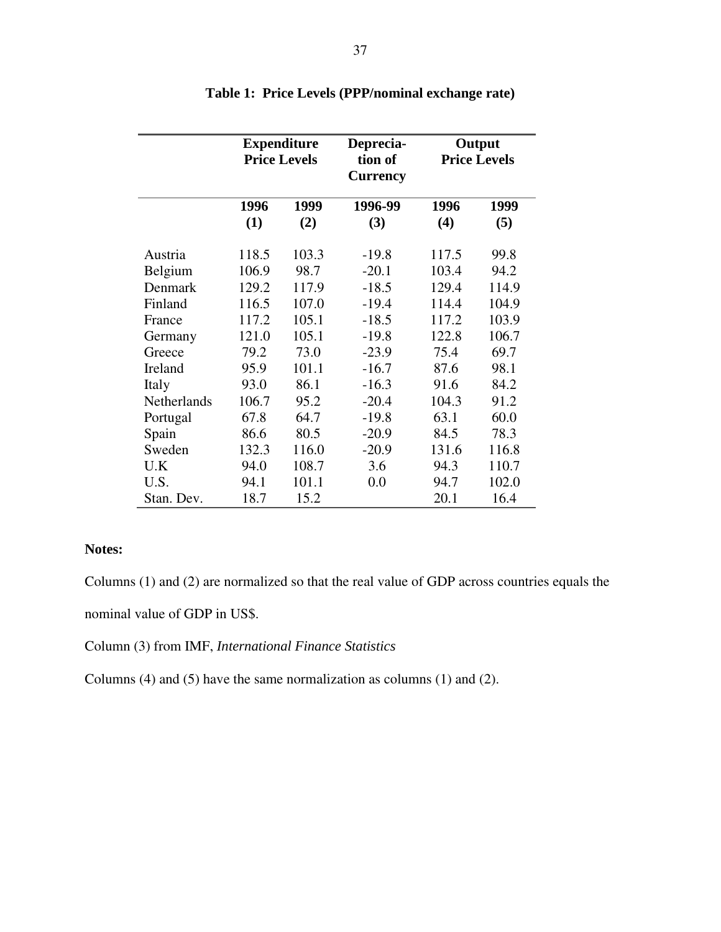|                    | <b>Expenditure</b><br><b>Price Levels</b> |       | Deprecia-<br>tion of<br><b>Currency</b> | Output<br><b>Price Levels</b> |       |
|--------------------|-------------------------------------------|-------|-----------------------------------------|-------------------------------|-------|
|                    | 1996                                      | 1999  | 1996-99                                 | 1996                          | 1999  |
|                    | (1)                                       | (2)   | (3)                                     | (4)                           | (5)   |
| Austria            | 118.5                                     | 103.3 | $-19.8$                                 | 117.5                         | 99.8  |
| Belgium            | 106.9                                     | 98.7  | $-20.1$                                 | 103.4                         | 94.2  |
| Denmark            | 129.2                                     | 117.9 | $-18.5$                                 | 129.4                         | 114.9 |
| Finland            | 116.5                                     | 107.0 | $-19.4$                                 | 114.4                         | 104.9 |
| France             | 117.2                                     | 105.1 | $-18.5$                                 | 117.2                         | 103.9 |
| Germany            | 121.0                                     | 105.1 | $-19.8$                                 | 122.8                         | 106.7 |
| Greece             | 79.2                                      | 73.0  | $-23.9$                                 | 75.4                          | 69.7  |
| Ireland            | 95.9                                      | 101.1 | $-16.7$                                 | 87.6                          | 98.1  |
| Italy              | 93.0                                      | 86.1  | $-16.3$                                 | 91.6                          | 84.2  |
| <b>Netherlands</b> | 106.7                                     | 95.2  | $-20.4$                                 | 104.3                         | 91.2  |
| Portugal           | 67.8                                      | 64.7  | $-19.8$                                 | 63.1                          | 60.0  |
| Spain              | 86.6                                      | 80.5  | $-20.9$                                 | 84.5                          | 78.3  |
| Sweden             | 132.3                                     | 116.0 | $-20.9$                                 | 131.6                         | 116.8 |
| U.K                | 94.0                                      | 108.7 | 3.6                                     | 94.3                          | 110.7 |
| U.S.               | 94.1                                      | 101.1 | 0.0                                     | 94.7                          | 102.0 |
| Stan. Dev.         | 18.7                                      | 15.2  |                                         | 20.1                          | 16.4  |

# **Table 1: Price Levels (PPP/nominal exchange rate)**

# **Notes:**

Columns (1) and (2) are normalized so that the real value of GDP across countries equals the

nominal value of GDP in US\$.

Column (3) from IMF, *International Finance Statistics*

Columns (4) and (5) have the same normalization as columns (1) and (2).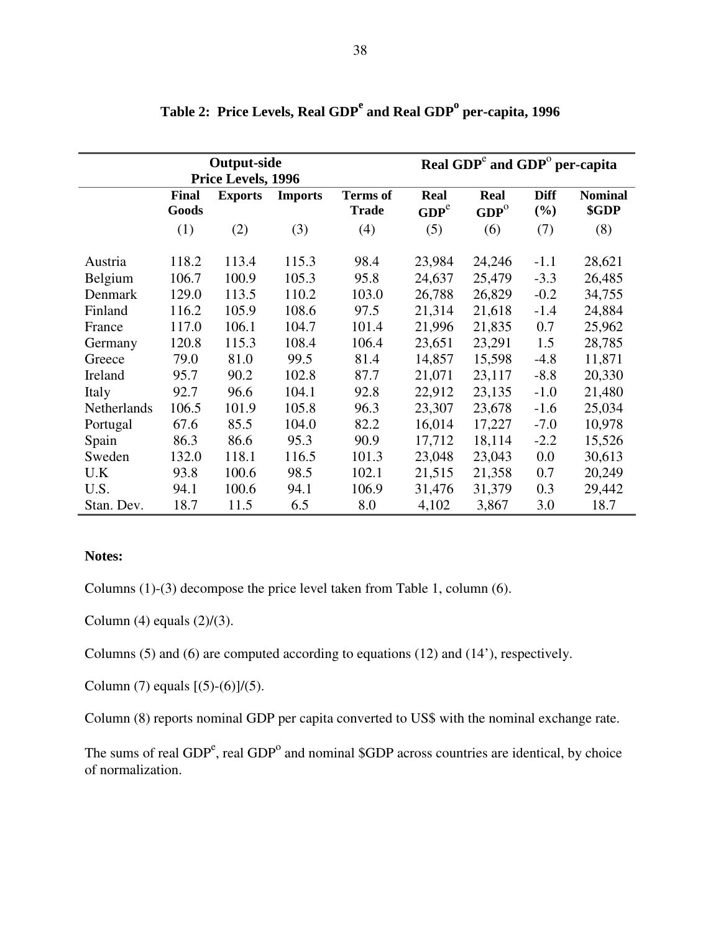|             | <b>Output-side</b><br>Price Levels, 1996 |                |                |                                 | Real GDP <sup>c</sup> and GDP <sup>o</sup> per-capita |                          |                    |                         |
|-------------|------------------------------------------|----------------|----------------|---------------------------------|-------------------------------------------------------|--------------------------|--------------------|-------------------------|
|             | <b>Final</b><br>Goods                    | <b>Exports</b> | <b>Imports</b> | <b>Terms</b> of<br><b>Trade</b> | Real<br>GDP <sup>e</sup>                              | Real<br>GDP <sup>o</sup> | <b>Diff</b><br>(%) | <b>Nominal</b><br>\$GDP |
|             | (1)                                      | (2)            | (3)            | (4)                             | (5)                                                   | (6)                      | (7)                | (8)                     |
| Austria     | 118.2                                    | 113.4          | 115.3          | 98.4                            | 23,984                                                | 24,246                   | $-1.1$             | 28,621                  |
| Belgium     | 106.7                                    | 100.9          | 105.3          | 95.8                            | 24,637                                                | 25,479                   | $-3.3$             | 26,485                  |
| Denmark     | 129.0                                    | 113.5          | 110.2          | 103.0                           | 26,788                                                | 26,829                   | $-0.2$             | 34,755                  |
| Finland     | 116.2                                    | 105.9          | 108.6          | 97.5                            | 21,314                                                | 21,618                   | $-1.4$             | 24,884                  |
| France      | 117.0                                    | 106.1          | 104.7          | 101.4                           | 21,996                                                | 21,835                   | 0.7                | 25,962                  |
| Germany     | 120.8                                    | 115.3          | 108.4          | 106.4                           | 23,651                                                | 23,291                   | 1.5                | 28,785                  |
| Greece      | 79.0                                     | 81.0           | 99.5           | 81.4                            | 14,857                                                | 15,598                   | $-4.8$             | 11,871                  |
| Ireland     | 95.7                                     | 90.2           | 102.8          | 87.7                            | 21,071                                                | 23,117                   | $-8.8$             | 20,330                  |
| Italy       | 92.7                                     | 96.6           | 104.1          | 92.8                            | 22,912                                                | 23,135                   | $-1.0$             | 21,480                  |
| Netherlands | 106.5                                    | 101.9          | 105.8          | 96.3                            | 23,307                                                | 23,678                   | $-1.6$             | 25,034                  |
| Portugal    | 67.6                                     | 85.5           | 104.0          | 82.2                            | 16,014                                                | 17,227                   | $-7.0$             | 10,978                  |
| Spain       | 86.3                                     | 86.6           | 95.3           | 90.9                            | 17,712                                                | 18,114                   | $-2.2$             | 15,526                  |
| Sweden      | 132.0                                    | 118.1          | 116.5          | 101.3                           | 23,048                                                | 23,043                   | 0.0                | 30,613                  |
| U.K         | 93.8                                     | 100.6          | 98.5           | 102.1                           | 21,515                                                | 21,358                   | 0.7                | 20,249                  |
| U.S.        | 94.1                                     | 100.6          | 94.1           | 106.9                           | 31,476                                                | 31,379                   | 0.3                | 29,442                  |
| Stan. Dev.  | 18.7                                     | 11.5           | 6.5            | 8.0                             | 4,102                                                 | 3,867                    | 3.0                | 18.7                    |

Table 2: Price Levels, Real GDP<sup>e</sup> and Real GDP<sup>o</sup> per-capita, 1996

### **Notes:**

Columns (1)-(3) decompose the price level taken from Table 1, column (6).

Column (4) equals  $(2)/(3)$ .

Columns (5) and (6) are computed according to equations (12) and (14'), respectively.

Column (7) equals  $[(5)-(6)]/(5)$ .

Column (8) reports nominal GDP per capita converted to US\$ with the nominal exchange rate.

The sums of real  $GDP<sup>e</sup>$ , real  $GDP<sup>o</sup>$  and nominal \$GDP across countries are identical, by choice of normalization.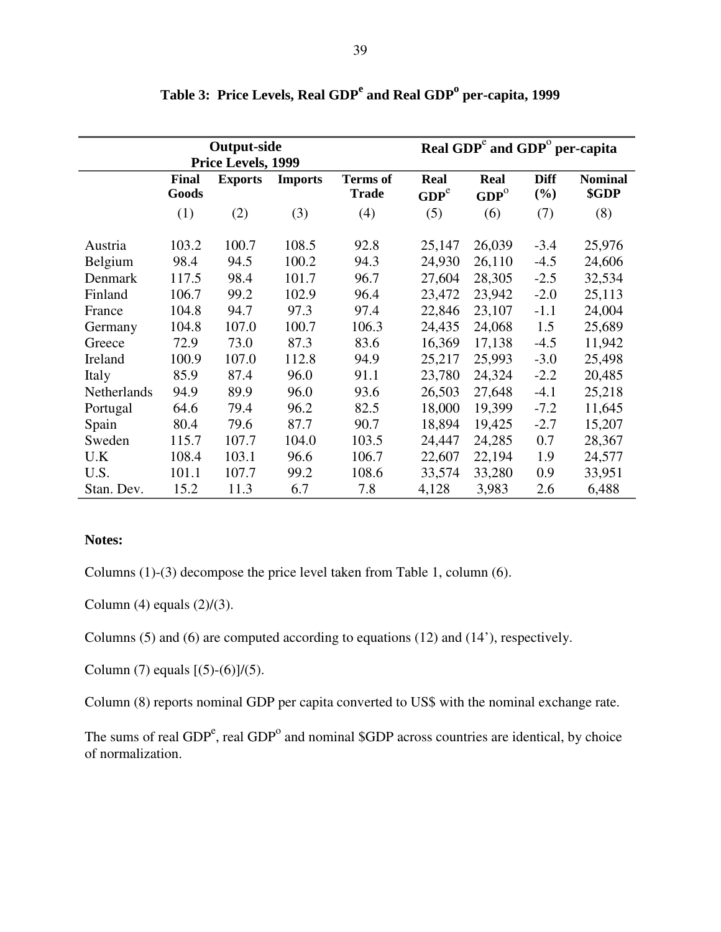|             |                | <b>Output-side</b><br>Price Levels, 1999 |                | Real GDP <sup>c</sup> and GDP <sup>o</sup> per-capita |                          |                          |                    |                         |
|-------------|----------------|------------------------------------------|----------------|-------------------------------------------------------|--------------------------|--------------------------|--------------------|-------------------------|
|             | Final<br>Goods | <b>Exports</b>                           | <b>Imports</b> | <b>Terms</b> of<br><b>Trade</b>                       | Real<br>GDP <sup>e</sup> | Real<br>GDP <sup>o</sup> | <b>Diff</b><br>(%) | <b>Nominal</b><br>\$GDP |
|             | (1)            | (2)                                      | (3)            | (4)                                                   | (5)                      | (6)                      | (7)                | (8)                     |
| Austria     | 103.2          | 100.7                                    | 108.5          | 92.8                                                  | 25,147                   | 26,039                   | $-3.4$             | 25,976                  |
| Belgium     | 98.4           | 94.5                                     | 100.2          | 94.3                                                  | 24,930                   | 26,110                   | $-4.5$             | 24,606                  |
| Denmark     | 117.5          | 98.4                                     | 101.7          | 96.7                                                  | 27,604                   | 28,305                   | $-2.5$             | 32,534                  |
| Finland     | 106.7          | 99.2                                     | 102.9          | 96.4                                                  | 23,472                   | 23,942                   | $-2.0$             | 25,113                  |
| France      | 104.8          | 94.7                                     | 97.3           | 97.4                                                  | 22,846                   | 23,107                   | $-1.1$             | 24,004                  |
| Germany     | 104.8          | 107.0                                    | 100.7          | 106.3                                                 | 24,435                   | 24,068                   | 1.5                | 25,689                  |
| Greece      | 72.9           | 73.0                                     | 87.3           | 83.6                                                  | 16,369                   | 17,138                   | $-4.5$             | 11,942                  |
| Ireland     | 100.9          | 107.0                                    | 112.8          | 94.9                                                  | 25,217                   | 25,993                   | $-3.0$             | 25,498                  |
| Italy       | 85.9           | 87.4                                     | 96.0           | 91.1                                                  | 23,780                   | 24,324                   | $-2.2$             | 20,485                  |
| Netherlands | 94.9           | 89.9                                     | 96.0           | 93.6                                                  | 26,503                   | 27,648                   | $-4.1$             | 25,218                  |
| Portugal    | 64.6           | 79.4                                     | 96.2           | 82.5                                                  | 18,000                   | 19,399                   | $-7.2$             | 11,645                  |
| Spain       | 80.4           | 79.6                                     | 87.7           | 90.7                                                  | 18,894                   | 19,425                   | $-2.7$             | 15,207                  |
| Sweden      | 115.7          | 107.7                                    | 104.0          | 103.5                                                 | 24,447                   | 24,285                   | 0.7                | 28,367                  |
| U.K         | 108.4          | 103.1                                    | 96.6           | 106.7                                                 | 22,607                   | 22,194                   | 1.9                | 24,577                  |
| U.S.        | 101.1          | 107.7                                    | 99.2           | 108.6                                                 | 33,574                   | 33,280                   | 0.9                | 33,951                  |
| Stan. Dev.  | 15.2           | 11.3                                     | 6.7            | 7.8                                                   | 4,128                    | 3,983                    | 2.6                | 6,488                   |

Table 3: Price Levels, Real GDP<sup>e</sup> and Real GDP<sup>o</sup> per-capita, 1999

# **Notes:**

Columns (1)-(3) decompose the price level taken from Table 1, column (6).

Column  $(4)$  equals  $(2)/(3)$ .

Columns (5) and (6) are computed according to equations (12) and (14'), respectively.

Column (7) equals  $[(5)-(6)]/(5)$ .

Column (8) reports nominal GDP per capita converted to US\$ with the nominal exchange rate.

The sums of real  $GDP<sup>e</sup>$ , real  $GDP<sup>o</sup>$  and nominal \$GDP across countries are identical, by choice of normalization.